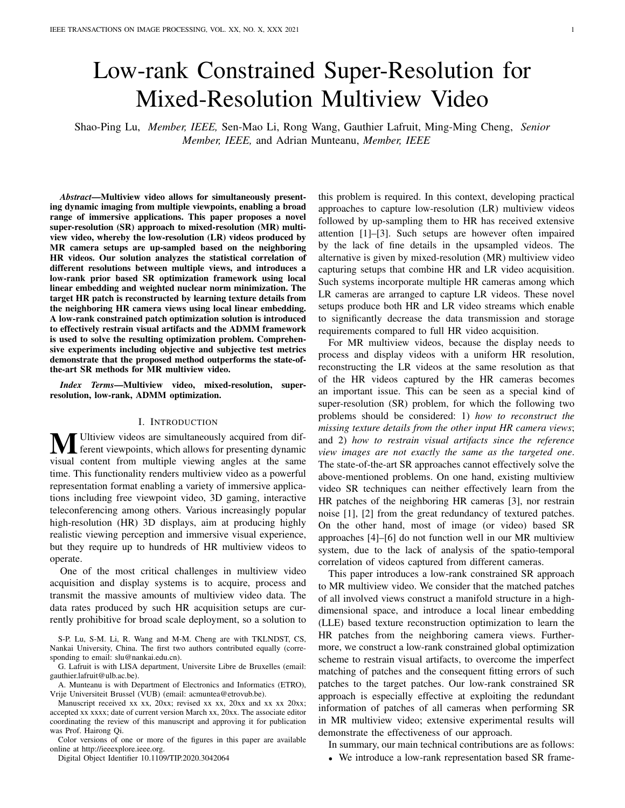# Low-rank Constrained Super-Resolution for Mixed-Resolution Multiview Video

Shao-Ping Lu, *Member, IEEE,* Sen-Mao Li, Rong Wang, Gauthier Lafruit, Ming-Ming Cheng, *Senior Member, IEEE,* and Adrian Munteanu, *Member, IEEE*

*Abstract*—Multiview video allows for simultaneously presenting dynamic imaging from multiple viewpoints, enabling a broad range of immersive applications. This paper proposes a novel super-resolution (SR) approach to mixed-resolution (MR) multiview video, whereby the low-resolution (LR) videos produced by MR camera setups are up-sampled based on the neighboring HR videos. Our solution analyzes the statistical correlation of different resolutions between multiple views, and introduces a low-rank prior based SR optimization framework using local linear embedding and weighted nuclear norm minimization. The target HR patch is reconstructed by learning texture details from the neighboring HR camera views using local linear embedding. A low-rank constrained patch optimization solution is introduced to effectively restrain visual artifacts and the ADMM framework is used to solve the resulting optimization problem. Comprehensive experiments including objective and subjective test metrics demonstrate that the proposed method outperforms the state-ofthe-art SR methods for MR multiview video.

*Index Terms*—Multiview video, mixed-resolution, superresolution, low-rank, ADMM optimization.

## I. INTRODUCTION

**MU** Ultiview videos are simultaneously acquired from different viewpoints, which allows for presenting dynamic visual content from multiple viewing angles at the same time. This functionality renders multiview video as a powerful representation format enabling a variety of immersive applications including free viewpoint video, 3D gaming, interactive teleconferencing among others. Various increasingly popular high-resolution (HR) 3D displays, aim at producing highly realistic viewing perception and immersive visual experience, but they require up to hundreds of HR multiview videos to operate.

One of the most critical challenges in multiview video acquisition and display systems is to acquire, process and transmit the massive amounts of multiview video data. The data rates produced by such HR acquisition setups are currently prohibitive for broad scale deployment, so a solution to

S-P. Lu, S-M. Li, R. Wang and M-M. Cheng are with TKLNDST, CS, Nankai University, China. The first two authors contributed equally (corresponding to email: slu@nankai.edu.cn).

G. Lafruit is with LISA department, Universite Libre de Bruxelles (email: gauthier.lafruit@ulb.ac.be).

A. Munteanu is with Department of Electronics and Informatics (ETRO), Vrije Universiteit Brussel (VUB) (email: acmuntea@etrovub.be).

Manuscript received xx xx, 20xx; revised xx xx, 20xx and xx xx 20xx; accepted xx xxxx; date of current version March xx, 20xx. The associate editor coordinating the review of this manuscript and approving it for publication was Prof. Hairong Qi.

Color versions of one or more of the figures in this paper are available online at http://ieeexplore.ieee.org.

Digital Object Identifier 10.1109/TIP.2020.3042064

this problem is required. In this context, developing practical approaches to capture low-resolution (LR) multiview videos followed by up-sampling them to HR has received extensive attention [1]–[3]. Such setups are however often impaired by the lack of fine details in the upsampled videos. The alternative is given by mixed-resolution (MR) multiview video capturing setups that combine HR and LR video acquisition. Such systems incorporate multiple HR cameras among which LR cameras are arranged to capture LR videos. These novel setups produce both HR and LR video streams which enable to significantly decrease the data transmission and storage requirements compared to full HR video acquisition.

For MR multiview videos, because the display needs to process and display videos with a uniform HR resolution, reconstructing the LR videos at the same resolution as that of the HR videos captured by the HR cameras becomes an important issue. This can be seen as a special kind of super-resolution (SR) problem, for which the following two problems should be considered: 1) *how to reconstruct the missing texture details from the other input HR camera views*; and 2) *how to restrain visual artifacts since the reference view images are not exactly the same as the targeted one*. The state-of-the-art SR approaches cannot effectively solve the above-mentioned problems. On one hand, existing multiview video SR techniques can neither effectively learn from the HR patches of the neighboring HR cameras [3], nor restrain noise [1], [2] from the great redundancy of textured patches. On the other hand, most of image (or video) based SR approaches [4]–[6] do not function well in our MR multiview system, due to the lack of analysis of the spatio-temporal correlation of videos captured from different cameras.

This paper introduces a low-rank constrained SR approach to MR multiview video. We consider that the matched patches of all involved views construct a manifold structure in a highdimensional space, and introduce a local linear embedding (LLE) based texture reconstruction optimization to learn the HR patches from the neighboring camera views. Furthermore, we construct a low-rank constrained global optimization scheme to restrain visual artifacts, to overcome the imperfect matching of patches and the consequent fitting errors of such patches to the target patches. Our low-rank constrained SR approach is especially effective at exploiting the redundant information of patches of all cameras when performing SR in MR multiview video; extensive experimental results will demonstrate the effectiveness of our approach.

In summary, our main technical contributions are as follows:

• We introduce a low-rank representation based SR frame-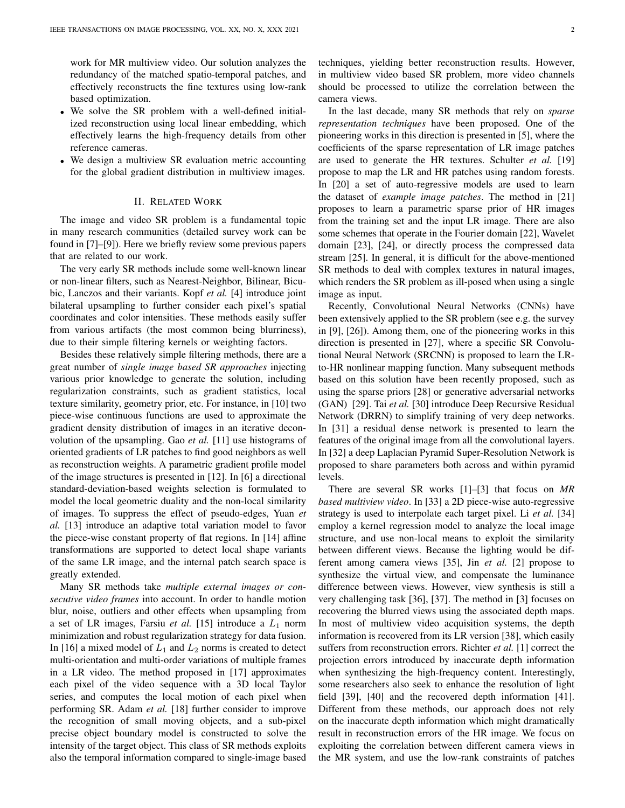work for MR multiview video. Our solution analyzes the redundancy of the matched spatio-temporal patches, and effectively reconstructs the fine textures using low-rank based optimization.

- We solve the SR problem with a well-defined initialized reconstruction using local linear embedding, which effectively learns the high-frequency details from other reference cameras.
- We design a multiview SR evaluation metric accounting for the global gradient distribution in multiview images.

## II. RELATED WORK

The image and video SR problem is a fundamental topic in many research communities (detailed survey work can be found in [7]–[9]). Here we briefly review some previous papers that are related to our work.

The very early SR methods include some well-known linear or non-linear filters, such as Nearest-Neighbor, Bilinear, Bicubic, Lanczos and their variants. Kopf *et al.* [4] introduce joint bilateral upsampling to further consider each pixel's spatial coordinates and color intensities. These methods easily suffer from various artifacts (the most common being blurriness), due to their simple filtering kernels or weighting factors.

Besides these relatively simple filtering methods, there are a great number of *single image based SR approaches* injecting various prior knowledge to generate the solution, including regularization constraints, such as gradient statistics, local texture similarity, geometry prior, etc. For instance, in [10] two piece-wise continuous functions are used to approximate the gradient density distribution of images in an iterative deconvolution of the upsampling. Gao *et al.* [11] use histograms of oriented gradients of LR patches to find good neighbors as well as reconstruction weights. A parametric gradient profile model of the image structures is presented in [12]. In [6] a directional standard-deviation-based weights selection is formulated to model the local geometric duality and the non-local similarity of images. To suppress the effect of pseudo-edges, Yuan *et al.* [13] introduce an adaptive total variation model to favor the piece-wise constant property of flat regions. In [14] affine transformations are supported to detect local shape variants of the same LR image, and the internal patch search space is greatly extended.

Many SR methods take *multiple external images or consecutive video frames* into account. In order to handle motion blur, noise, outliers and other effects when upsampling from a set of LR images, Farsiu  $et$   $al$ . [15] introduce a  $L_1$  norm minimization and robust regularization strategy for data fusion. In [16] a mixed model of  $L_1$  and  $L_2$  norms is created to detect multi-orientation and multi-order variations of multiple frames in a LR video. The method proposed in [17] approximates each pixel of the video sequence with a 3D local Taylor series, and computes the local motion of each pixel when performing SR. Adam *et al.* [18] further consider to improve the recognition of small moving objects, and a sub-pixel precise object boundary model is constructed to solve the intensity of the target object. This class of SR methods exploits also the temporal information compared to single-image based techniques, yielding better reconstruction results. However, in multiview video based SR problem, more video channels should be processed to utilize the correlation between the camera views.

In the last decade, many SR methods that rely on *sparse representation techniques* have been proposed. One of the pioneering works in this direction is presented in [5], where the coefficients of the sparse representation of LR image patches are used to generate the HR textures. Schulter *et al.* [19] propose to map the LR and HR patches using random forests. In [20] a set of auto-regressive models are used to learn the dataset of *example image patches*. The method in [21] proposes to learn a parametric sparse prior of HR images from the training set and the input LR image. There are also some schemes that operate in the Fourier domain [22], Wavelet domain [23], [24], or directly process the compressed data stream [25]. In general, it is difficult for the above-mentioned SR methods to deal with complex textures in natural images, which renders the SR problem as ill-posed when using a single image as input.

Recently, Convolutional Neural Networks (CNNs) have been extensively applied to the SR problem (see e.g. the survey in [9], [26]). Among them, one of the pioneering works in this direction is presented in [27], where a specific SR Convolutional Neural Network (SRCNN) is proposed to learn the LRto-HR nonlinear mapping function. Many subsequent methods based on this solution have been recently proposed, such as using the sparse priors [28] or generative adversarial networks (GAN) [29]. Tai *et al.* [30] introduce Deep Recursive Residual Network (DRRN) to simplify training of very deep networks. In [31] a residual dense network is presented to learn the features of the original image from all the convolutional layers. In [32] a deep Laplacian Pyramid Super-Resolution Network is proposed to share parameters both across and within pyramid levels.

There are several SR works [1]–[3] that focus on *MR based multiview video*. In [33] a 2D piece-wise auto-regressive strategy is used to interpolate each target pixel. Li *et al.* [34] employ a kernel regression model to analyze the local image structure, and use non-local means to exploit the similarity between different views. Because the lighting would be different among camera views [35], Jin *et al.* [2] propose to synthesize the virtual view, and compensate the luminance difference between views. However, view synthesis is still a very challenging task [36], [37]. The method in [3] focuses on recovering the blurred views using the associated depth maps. In most of multiview video acquisition systems, the depth information is recovered from its LR version [38], which easily suffers from reconstruction errors. Richter *et al.* [1] correct the projection errors introduced by inaccurate depth information when synthesizing the high-frequency content. Interestingly, some researchers also seek to enhance the resolution of light field [39], [40] and the recovered depth information [41]. Different from these methods, our approach does not rely on the inaccurate depth information which might dramatically result in reconstruction errors of the HR image. We focus on exploiting the correlation between different camera views in the MR system, and use the low-rank constraints of patches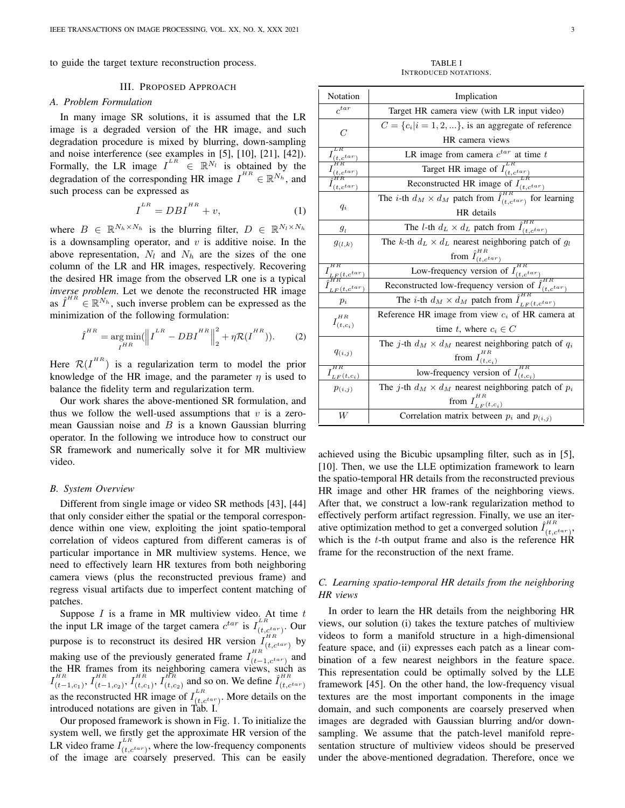to guide the target texture reconstruction process.

## III. PROPOSED APPROACH

## *A. Problem Formulation*

In many image SR solutions, it is assumed that the LR image is a degraded version of the HR image, and such degradation procedure is mixed by blurring, down-sampling and noise interference (see examples in [5], [10], [21], [42]). Formally, the LR image  $I^{LR} \in \mathbb{R}^{N_l}$  is obtained by the degradation of the corresponding HR image  $I^{HR} \in \mathbb{R}^{N_h}$ , and such process can be expressed as

$$
I^{LR} = DBI^{HR} + v,\tag{1}
$$

where  $B \in \mathbb{R}^{N_h \times N_h}$  is the blurring filter,  $D \in \mathbb{R}^{N_l \times N_h}$ is a downsampling operator, and  $v$  is additive noise. In the above representation,  $N_l$  and  $N_h$  are the sizes of the one column of the LR and HR images, respectively. Recovering the desired HR image from the observed LR one is a typical *inverse problem*. Let we denote the reconstructed HR image as  $\hat{I}^{HR} \in \mathbb{R}^{N_h}$ , such inverse problem can be expressed as the minimization of the following formulation:

$$
\hat{I}^{HR} = \underset{I^{HR}}{\arg \min} (\left\| \boldsymbol{I}^{LR} - DB \boldsymbol{I}^{HR} \right\|_{2}^{2} + \eta \mathcal{R}(\boldsymbol{I}^{HR})). \tag{2}
$$

Here  $\mathcal{R}(I^{HR})$  is a regularization term to model the prior knowledge of the HR image, and the parameter  $\eta$  is used to balance the fidelity term and regularization term.

Our work shares the above-mentioned SR formulation, and thus we follow the well-used assumptions that  $v$  is a zeromean Gaussian noise and  $B$  is a known Gaussian blurring operator. In the following we introduce how to construct our SR framework and numerically solve it for MR multiview video.

## *B. System Overview*

Different from single image or video SR methods [43], [44] that only consider either the spatial or the temporal correspondence within one view, exploiting the joint spatio-temporal correlation of videos captured from different cameras is of particular importance in MR multiview systems. Hence, we need to effectively learn HR textures from both neighboring camera views (plus the reconstructed previous frame) and regress visual artifacts due to imperfect content matching of patches.

Suppose  $I$  is a frame in MR multiview video. At time  $t$ the input LR image of the target camera  $c^{tar}$  is  $I_{(t,c^{tar})}^{LR}$ . Our purpose is to reconstruct its desired HR version  $I_{(t,c^{tar})}^{HR}$  by making use of the previously generated frame  $I_{(t-1,c^{tar})}^{HR}$  and the HR frames from its neighboring camera views, such as  $I_{\left(t\right)}^{HR}$  $_{(t-1,c_1)}^{^{HR}},I_{(t-}^{^{HR}}$  $_{(t-1,c_2)}^{^{HR}},I_{(t,c_1)}^{^{HR}}$  $_{\left( t,c_{1}\right) }^{_{_{H R}}},I_{\left( t,c\right) }^{_{_{H R}}}$  $\prod_{(t,c_2)}^{HR}$  and so on. We define  $\hat{I}_{(t,c^{tar})}^{HR}$ as the reconstructed HR image of  $I_{(t,c^{tar})}^{LR}$ . More details on the introduced notations are given in Tab. I.

Our proposed framework is shown in Fig. 1. To initialize the system well, we firstly get the approximate HR version of the LR video frame  $I_{(t, c^{tar})}^{LR}$ , where the low-frequency components of the image are coarsely preserved. This can be easily

TABLE I INTRODUCED NOTATIONS.

| Notation                   | Implication                                                                                                                                                                                               |
|----------------------------|-----------------------------------------------------------------------------------------------------------------------------------------------------------------------------------------------------------|
| $c^{tar}$                  | Target HR camera view (with LR input video)                                                                                                                                                               |
| C                          | $C = \{c_i   i = 1, 2, \}$ , is an aggregate of reference                                                                                                                                                 |
|                            | HR camera views                                                                                                                                                                                           |
| L R<br>$t, c^{tar}$        | LR image from camera $c^{tar}$ at time $t$                                                                                                                                                                |
| $t, c^{tar}$               |                                                                                                                                                                                                           |
| $t.c^{tar}$                | <b>Example 18</b> Target HR image of $I_{(t,c^{tar})}^{LR}$<br>Reconstructed HR image of $I_{(t,c^{tar})}^{LR}$<br>The <i>i</i> -th $d_M \times d_M$ patch from $\hat{I}_{(t,c^{tar})}^{HR}$ for learning |
|                            |                                                                                                                                                                                                           |
| $q_i$                      | HR details                                                                                                                                                                                                |
| $g_l$                      | The <i>l</i> -th $d_L \times d_L$ patch from $\hat{I}_{(t, c^{tar})}^{HR}$                                                                                                                                |
| $g_{(l,k)}$                | The k-th $d_L \times d_L$ nearest neighboring patch of $g_l$                                                                                                                                              |
|                            |                                                                                                                                                                                                           |
| $\frac{LF(t, c^{tar}}{HR}$ | $rac{\text{from } \hat{I}_{(t,c^{tar})}^{HR}}{\text{Low-frequency version of } I_{(t,c^{tar})}^{HR}}$                                                                                                     |
| $LF(t, c^{tar})$           | Reconstructed low-frequency version of $\hat{I}^{un}_{(t, c^{tar})}$                                                                                                                                      |
| $p_i$                      | The <i>i</i> -th $d_M \times d_M$ patch from $\hat{I}_{LF(t, c^{tar})}^{H_{int}}$                                                                                                                         |
| $H^R$                      | Reference HR image from view $c_i$ of HR camera at                                                                                                                                                        |
| $I_{(t,c_i)}$              | time t, where $c_i \in C$                                                                                                                                                                                 |
|                            | The j-th $d_M \times d_M$ nearest neighboring patch of $q_i$                                                                                                                                              |
| $q_{(i,j)}$                | from $I^{\scriptscriptstyle HR}_{(t,c_i)}$                                                                                                                                                                |
| $I_{LF}(t, c_i)$           | low-frequency version of $I_{(t,c_i)}^{HR}$                                                                                                                                                               |
| $p_{(i,j)}$                | The j-th $d_M \times d_M$ nearest neighboring patch of $p_i$                                                                                                                                              |
|                            | from $I_{LF}(t, c_i)$                                                                                                                                                                                     |
| W                          | Correlation matrix between $p_i$ and $p_{(i,j)}$                                                                                                                                                          |

achieved using the Bicubic upsampling filter, such as in [5], [10]. Then, we use the LLE optimization framework to learn the spatio-temporal HR details from the reconstructed previous HR image and other HR frames of the neighboring views. After that, we construct a low-rank regularization method to effectively perform artifact regression. Finally, we use an iterative optimization method to get a converged solution  $\hat{I}_{(t,c^{tar})}^{HR}$ , which is the t-th output frame and also is the reference HR frame for the reconstruction of the next frame.

# *C. Learning spatio-temporal HR details from the neighboring HR views*

In order to learn the HR details from the neighboring HR views, our solution (i) takes the texture patches of multiview videos to form a manifold structure in a high-dimensional feature space, and (ii) expresses each patch as a linear combination of a few nearest neighbors in the feature space. This representation could be optimally solved by the LLE framework [45]. On the other hand, the low-frequency visual textures are the most important components in the image domain, and such components are coarsely preserved when images are degraded with Gaussian blurring and/or downsampling. We assume that the patch-level manifold representation structure of multiview videos should be preserved under the above-mentioned degradation. Therefore, once we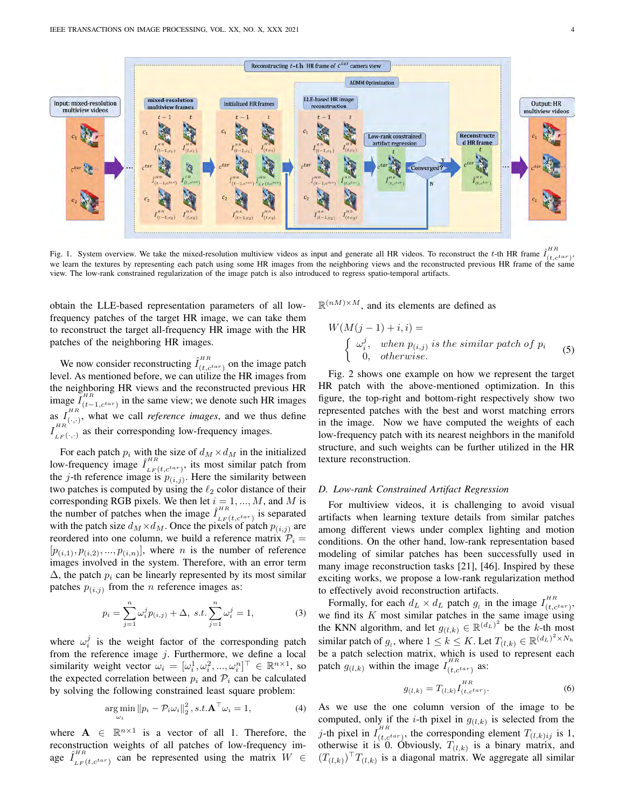

Fig. 1. System overview. We take the mixed-resolution multiview videos as input and generate all HR videos. To reconstruct the t-th HR frame  $\hat{I}_{(t,c^{tar})}^{HR}$ , we learn the textures by representing each patch using some HR images from the neighboring views and the reconstructed previous HR frame of the same view. The low-rank constrained regularization of the image patch is also introduced to regress spatio-temporal artifacts.

obtain the LLE-based representation parameters of all lowfrequency patches of the target HR image, we can take them to reconstruct the target all-frequency HR image with the HR patches of the neighboring HR images.

We now consider reconstructing  $\hat{I}_{(t,c^{tar})}^{HR}$  on the image patch level. As mentioned before, we can utilize the HR images from the neighboring HR views and the reconstructed previous HR image  $\overline{I_{(t-1,c^{tar})}^{HR}}$  in the same view; we denote such HR images as  $I_{(+)}^{HR}$  $\sum_{(i,j)}^{H1}$ , what we call *reference images*, and we thus define  $I_{\tau,n}^{^{HR}}$  $\sum_{LF(\cdot,\cdot)}^{HLE}$  as their corresponding low-frequency images.

For each patch  $p_i$  with the size of  $d_M \times d_M$  in the initialized low-frequency image  $\hat{I}_{LF(t, c^{tar})}^{HR}$ , its most similar patch from the j-th reference image is  $p_{(i,j)}$ . Here the similarity between two patches is computed by using the  $\ell_2$  color distance of their corresponding RGB pixels. We then let  $i = 1, ..., M$ , and M is the number of patches when the image  $\hat{I}_{LF}(t, c^{tar})$  is separated with the patch size  $d_M \times d_M$ . Once the pixels of patch  $p_{(i,j)}$  are reordered into one column, we build a reference matrix  $P_i =$  $[p_{(i,1)}, p_{(i,2)}, ..., p_{(i,n)}],$  where *n* is the number of reference images involved in the system. Therefore, with an error term  $\Delta$ , the patch  $p_i$  can be linearly represented by its most similar patches  $p_{(i,j)}$  from the *n* reference images as:

$$
p_i = \sum_{j=1}^n \omega_i^j p_{(i,j)} + \Delta, \ s.t. \sum_{j=1}^n \omega_i^j = 1,
$$
 (3)

where  $\omega_i^j$  is the weight factor of the corresponding patch from the reference image  $j$ . Furthermore, we define a local similarity weight vector  $\omega_i = [\omega_i^1, \omega_i^2, ..., \omega_i^n]^\top \in \mathbb{R}^{n \times 1}$ , so the expected correlation between  $p_i$  and  $\mathcal{P}_i$  can be calculated by solving the following constrained least square problem:

$$
\underset{\omega_i}{\arg\min} \|p_i - \mathcal{P}_i \omega_i\|_2^2, s.t. \mathbf{A}^\top \omega_i = 1,\tag{4}
$$

where  $A \in \mathbb{R}^{n \times 1}$  is a vector of all 1. Therefore, the reconstruction weights of all patches of low-frequency image  $\hat{I}_{LF(t, c^{tar})}^{HR}$  can be represented using the matrix  $W \in$   $\mathbb{R}^{(nM)\times M}$ , and its elements are defined as

$$
W(M(j-1) + i, i) =
$$
  
\n
$$
\begin{cases}\n\omega_i^j, & when \ p_{(i,j)} \ is \ the \ similar \ patch \ of \ p_i \\
0, & otherwise.\n\end{cases}
$$
 (5)

Fig. 2 shows one example on how we represent the target HR patch with the above-mentioned optimization. In this figure, the top-right and bottom-right respectively show two represented patches with the best and worst matching errors in the image. Now we have computed the weights of each low-frequency patch with its nearest neighbors in the manifold structure, and such weights can be further utilized in the HR texture reconstruction.

## *D. Low-rank Constrained Artifact Regression*

For multiview videos, it is challenging to avoid visual artifacts when learning texture details from similar patches among different views under complex lighting and motion conditions. On the other hand, low-rank representation based modeling of similar patches has been successfully used in many image reconstruction tasks [21], [46]. Inspired by these exciting works, we propose a low-rank regularization method to effectively avoid reconstruction artifacts.

Formally, for each  $d_L \times d_L$  patch  $g_l$  in the image  $I_{(t,c^{tar})}^{HR}$ , we find its  $K$  most similar patches in the same image using the KNN algorithm, and let  $g_{(l,k)} \in \mathbb{R}^{(d_L)^2}$  be the k-th most similar patch of  $g_l$ , where  $1 \leq k \leq K$ . Let  $T_{(l,k)} \in \mathbb{R}^{(d_L)^2 \times N_h}$ be a patch selection matrix, which is used to represent each patch  $g_{(l,k)}$  within the image  $I_{(t,c^{tar})}^{HR}$  as:

$$
g_{(l,k)} = T_{(l,k)} I_{(t,c^{tar})}^{HR}.
$$
 (6)

As we use the one column version of the image to be computed, only if the *i*-th pixel in  $g_{(l,k)}$  is selected from the j-th pixel in  $I_{(t, c^{tar})}^{HR}$ , the corresponding element  $T_{(l,k)ij}$  is 1, otherwise it is 0. Obviously,  $T_{(l,k)}$  is a binary matrix, and  $(T_{(l,k)})^{\top}T_{(l,k)}$  is a diagonal matrix. We aggregate all similar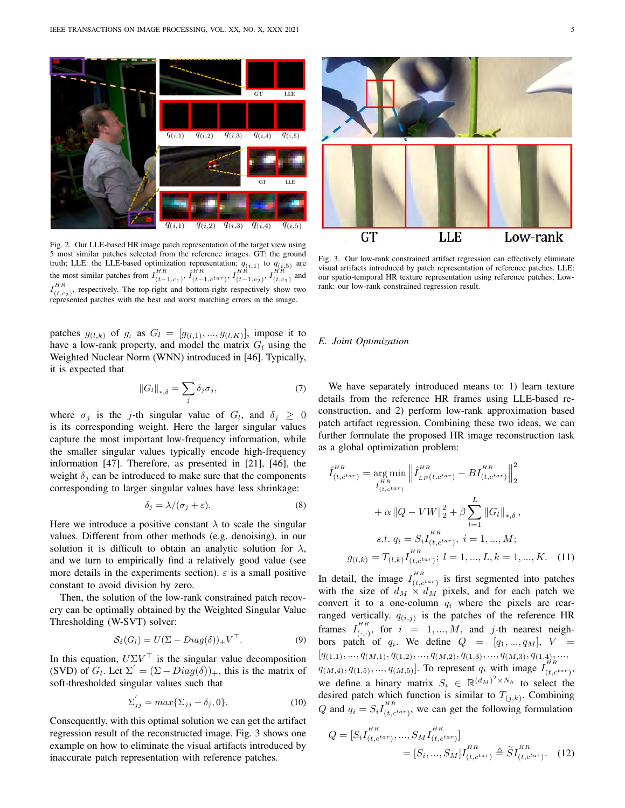

Fig. 2. Our LLE-based HR image patch representation of the target view using 5 most similar patches selected from the reference images. GT: the ground truth; LLE: the LLE-based optimization representation;  $q_{(i,1)}$  to  $q_{(i,5)}$  are the most similar patches from  $I_{(t-1,c_1)}^{HR}$ ,  $\hat{I}_{(t-1,c^{tar})}^{HR}$ ,  $I_{(t-1,c_2)}^{HR}$ ,  $I_{(t,c_1)}^{HR}$  and  $I_{(t,c_2)}^{HR}$ , respectively. The top-right and bottom-right respectively show two represented patches with the best and worst matching errors in the image.

patches  $g_{(l,k)}$  of  $g_i$  as  $G_l = [g_{(l,1)},...,g_{(l,K)}]$ , impose it to have a low-rank property, and model the matrix  $G_l$  using the Weighted Nuclear Norm (WNN) introduced in [46]. Typically, it is expected that

$$
||G_l||_{*,\delta} = \sum_j \delta_j \sigma_j,\tag{7}
$$

where  $\sigma_j$  is the j-th singular value of  $G_l$ , and  $\delta_j \geq 0$ is its corresponding weight. Here the larger singular values capture the most important low-frequency information, while the smaller singular values typically encode high-frequency information [47]. Therefore, as presented in [21], [46], the weight  $\delta_i$  can be introduced to make sure that the components corresponding to larger singular values have less shrinkage:

$$
\delta_j = \lambda / (\sigma_j + \varepsilon). \tag{8}
$$

Here we introduce a positive constant  $\lambda$  to scale the singular values. Different from other methods (e.g. denoising), in our solution it is difficult to obtain an analytic solution for  $\lambda$ , and we turn to empirically find a relatively good value (see more details in the experiments section).  $\varepsilon$  is a small positive constant to avoid division by zero.

Then, the solution of the low-rank constrained patch recovery can be optimally obtained by the Weighted Singular Value Thresholding (W-SVT) solver:

$$
S_{\delta}(G_l) = U(\Sigma - Diag(\delta))_{+}V^{\top}.
$$
 (9)

In this equation,  $U\Sigma V^{\top}$  is the singular value decomposition (SVD) of  $G_l$ . Let  $\Sigma' = (\Sigma - Diag(\delta))_+$ , this is the matrix of soft-thresholded singular values such that

$$
\Sigma'_{jj} = max\{\Sigma_{jj} - \delta_j, 0\}.
$$
 (10)

Consequently, with this optimal solution we can get the artifact regression result of the reconstructed image. Fig. 3 shows one example on how to eliminate the visual artifacts introduced by inaccurate patch representation with reference patches.



Fig. 3. Our low-rank constrained artifact regression can effectively eliminate visual artifacts introduced by patch representation of reference patches. LLE: our spatio-temporal HR texture representation using reference patches; Lowrank: our low-rank constrained regression result.

# *E. Joint Optimization*

We have separately introduced means to: 1) learn texture details from the reference HR frames using LLE-based reconstruction, and 2) perform low-rank approximation based patch artifact regression. Combining these two ideas, we can further formulate the proposed HR image reconstruction task as a global optimization problem:

$$
\hat{I}_{(t,c^{tar})}^{HR} = \underset{I_{(t,c^{tar})}}{\arg \min} \left\| \hat{I}_{LF(t,c^{tar})}^{HR} - BI_{(t,c^{tar})}^{HR} \right\|_{2}^{2}
$$
\n
$$
+ \alpha \left\| Q - VW \right\|_{2}^{2} + \beta \sum_{l=1}^{L} \left\| G_{l} \right\|_{*,\delta},
$$
\n*s.t.*  $q_{i} = S_{i} I_{(t,c^{tar})}^{HR}, i = 1, ..., M;$   
\n $g_{(l,k)} = T_{(l,k)} I_{(t,c^{tar})}^{HR}; l = 1, ..., L, k = 1, ..., K.$  (11)

In detail, the image  $I_{(t,c^{tar})}^{HR}$  is first segmented into patches with the size of  $d_M \times d_M$  pixels, and for each patch we convert it to a one-column  $q_i$  where the pixels are rearranged vertically.  $q_{(i,j)}$  is the patches of the reference HR frames  $I_{(+)}^{HR}$  $\sum_{(i,j)}^{n}$ , for  $i = 1, ..., M$ , and j-th nearest neighbors patch of  $q_i$ . We define  $Q = [q_1, ..., q_M], V =$  $[q_{(1,1)},...,q_{(M,1)},q_{(1,2)},...,q_{(M,2)},q_{(1,3)},...,q_{(M,3)},q_{(1,4)},...,$  $q_{(M,4)}, q_{(1,5)}, ..., q_{(M,5)}$ . To represent  $q_i$  with image  $I_{(t,c^{tar})}^{HR}$ , we define a binary matrix  $S_i \in \mathbb{R}^{(d_M)^2 \times N_h}$  to select the desired patch which function is similar to  $T_{(j,k)}$ . Combining Q and  $q_i = S_i I_{(t, c^{tar})}^{HR}$ , we can get the following formulation

$$
Q = [S_i I_{(t, c^{tar})}^{HR}, ..., S_M I_{(t, c^{tar})}^{HR}]
$$
  
=  $[S_i, ..., S_M] I_{(t, c^{tar})}^{HR} \triangleq \widetilde{S} I_{(t, c^{tar})}^{HR}.$  (12)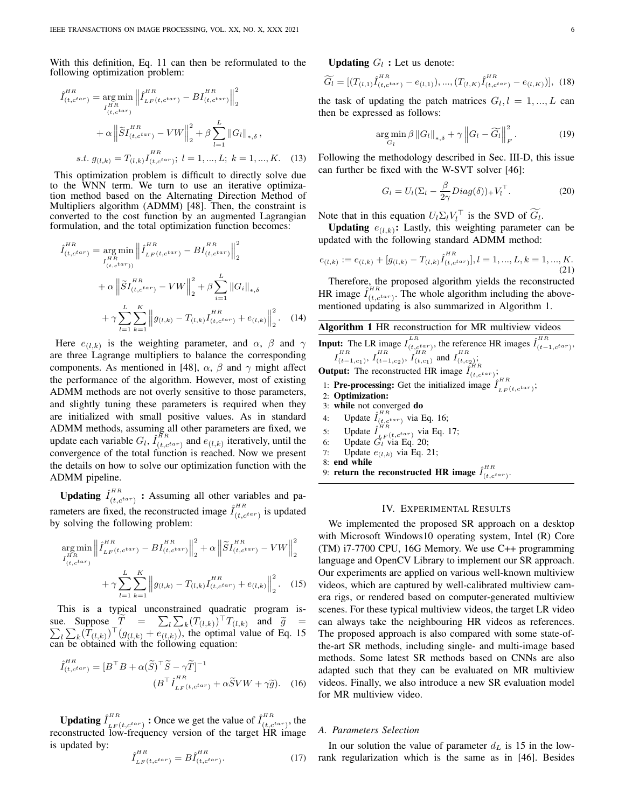With this definition, Eq. 11 can then be reformulated to the following optimization problem:

$$
\hat{I}_{(t,c^{tar})}^{HR} = \underset{I_{(t,c^{tar})}}{\arg \min} \left\| \hat{I}_{LF(t,c^{tar})}^{HR} - BI_{(t,c^{tar})}^{HR} \right\|_{2}^{2}
$$
\n
$$
+ \alpha \left\| \tilde{S} I_{(t,c^{tar})}^{HR} - VW \right\|_{2}^{2} + \beta \sum_{l=1}^{L} \left\| G_{l} \right\|_{*,\delta},
$$
\ns.t.  $g_{(l,k)} = T_{(l,k)} I_{(t,c^{tar})}^{HR}; l = 1, ..., L; k = 1, ..., K.$  (13)

This optimization problem is difficult to directly solve due to the WNN term. We turn to use an iterative optimization method based on the Alternating Direction Method of Multipliers algorithm (ADMM) [48]. Then, the constraint is converted to the cost function by an augmented Lagrangian formulation, and the total optimization function becomes:

$$
\hat{I}_{(t,c^{tar})}^{HR} = \underset{I_{(t,c^{tar})}^{HR}}{\arg \min} \left\| \hat{I}_{LF(t,c^{tar})}^{HR} - BI_{(t,c^{tar})}^{HR} \right\|_{2}^{2}
$$
\n
$$
+ \alpha \left\| \tilde{S} I_{(t,c^{tar})}^{HR} - VW \right\|_{2}^{2} + \beta \sum_{i=1}^{L} \left\| G_{i} \right\|_{*,\delta}
$$
\n
$$
+ \gamma \sum_{l=1}^{L} \sum_{k=1}^{K} \left\| g_{(l,k)} - T_{(l,k)} I_{(t,c^{tar})}^{HR} + e_{(l,k)} \right\|_{2}^{2} . \quad (14)
$$

Here  $e_{(l,k)}$  is the weighting parameter, and  $\alpha$ ,  $\beta$  and  $\gamma$ are three Lagrange multipliers to balance the corresponding components. As mentioned in [48],  $\alpha$ ,  $\beta$  and  $\gamma$  might affect the performance of the algorithm. However, most of existing ADMM methods are not overly sensitive to those parameters, and slightly tuning these parameters is required when they are initialized with small positive values. As in standard ADMM methods, assuming all other parameters are fixed, we update each variable  $G_l$ ,  $\hat{I}_{(t, c^{tar})}^{HR}$  and  $\hat{e}_{(l,k)}$  iteratively, until the convergence of the total function is reached. Now we present the details on how to solve our optimization function with the ADMM pipeline.

**Updating**  $\hat{I}_{(t,c^{tar})}^{HR}$  : Assuming all other variables and parameters are fixed, the reconstructed image  $\hat{I}_{(t, c^{tar})}^{HR}$  is updated by solving the following problem:

$$
\underset{I_{(t,c^{tar})}}{\arg \min} \left\| \hat{I}_{LF(t,c^{tar})}^{HR} - BI_{(t,c^{tar})}^{HR} \right\|_{2}^{2} + \alpha \left\| \tilde{S} I_{(t,c^{tar})}^{HR} - VW \right\|_{2}^{2} + \gamma \sum_{l=1}^{L} \sum_{k=1}^{K} \left\| g_{(l,k)} - T_{(l,k)} I_{(t,c^{tar})}^{HR} + e_{(l,k)} \right\|_{2}^{2}.
$$
 (15)

This is a typical unconstrained quadratic program issue. Suppose  $\widetilde{T} = \sum_l \sum_k (T_{(l,k)})^T$ sue. Suppose  $T = \sum_l \sum_k (T_{(l,k)})^{\dagger} T_{(l,k)}$  and  $\tilde{g} = \sum_l \sum_k (T_{(l,k)})^{\dagger} (g_{(l,k)})^{\dagger} (g_{(l,k)})$ , the optimal value of Eq. 15 can be obtained with the following equation:

$$
\hat{I}_{(t,c^{tar})}^{HR} = [B^{\top}B + \alpha(\tilde{S})^{\top}\tilde{S} - \gamma\tilde{T}]^{-1}
$$

$$
(B^{\top}\hat{I}_{LF(t,c^{tar})}^{HR} + \alpha\tilde{S}VW + \gamma\tilde{g}).
$$
 (16)

**Updating**  $\hat{I}_{LF}(t, c^{tar})$  : Once we get the value of  $\hat{I}_{(t, c^{tar})}^{HR}$ , the reconstructed low-frequency version of the target HR image is updated by:

$$
\hat{I}_{LF(t, c^{tar})}^{HR} = B \hat{I}_{(t, c^{tar})}^{HR}.
$$
\n(17)

**Updating**  $G_l$ : Let us denote:

$$
\widetilde{G}_l = [(T_{(l,1)}\hat{I}_{(t,c^{tar})}^{HR} - e_{(l,1)}), ..., (T_{(l,K)}\hat{I}_{(t,c^{tar})}^{HR} - e_{(l,K)})], (18)
$$

the task of updating the patch matrices  $G_l, l = 1, ..., L$  can then be expressed as follows:

$$
\underset{G_l}{\arg\min} \beta \left\|G_l\right\|_{*,\delta} + \gamma \left\|G_l - \widetilde{G}_l\right\|_F^2. \tag{19}
$$

Following the methodology described in Sec. III-D, this issue can further be fixed with the W-SVT solver [46]:

$$
G_l = U_l(\Sigma_l - \frac{\beta}{2\gamma}Diag(\delta))_{+}V_l^{\top}.
$$
 (20)

Note that in this equation  $U_l \Sigma_l V_l^{\top}$  is the SVD of  $\tilde{G}_l$ .

**Updating**  $e_{(l,k)}$ : Lastly, this weighting parameter can be updated with the following standard ADMM method:

$$
e_{(l,k)} := e_{(l,k)} + [g_{(l,k)} - T_{(l,k)}\hat{I}_{(t,c^{tar})}^{HR}], l = 1, ..., L, k = 1, ..., K.
$$
\n(21)

Therefore, the proposed algorithm yields the reconstructed HR image  $\hat{I}_{(t, c^{tar})}^{HR}$ . The whole algorithm including the abovementioned updating is also summarized in Algorithm 1.

# Algorithm 1 HR reconstruction for MR multiview videos

**Input:** The LR image  $I_{(t,c^{tar})}^{LR}$ , the reference HR images  $\hat{I}_{(t-1,c^{tar})}^{HR}$ ,  $I_{(t-1,c_1)}^{HR}$ ,  $I_{(t-1,c_2)}^{HR}$ ,  $I_{(t,c_1)}^{HR}$  and  $I_{(t,c_2)}^{HR}$ ;

**Output:** The reconstructed HR image  $\tilde{I}_{(t,c^{tar})}^{HR}$ ;

- 1: **Pre-processing:** Get the initialized image  $\hat{I}_{LF(t, c^{tar})}^{HR}$ ;
- 2: Optimization:
- 3: while not converged do
- 4: Update  $\hat{I}_{(t, c^{tar})}^{HR}$  via Eq. 16;
- 5: Update  $\hat{I}_{LF(t, c^{tar})}^{HR}$  via Eq. 17;
- 6: Update  $G_l$  via Eq. 20;
- 7: Update  $e_{(l,k)}$  via Eq. 21;
- 8: end while
- 9: return the reconstructed HR image  $\hat{I}_{(t, c^{tar})}^{HR}$ .

#### IV. EXPERIMENTAL RESULTS

We implemented the proposed SR approach on a desktop with Microsoft Windows10 operating system, Intel (R) Core (TM) i7-7700 CPU, 16G Memory. We use C++ programming language and OpenCV Library to implement our SR approach. Our experiments are applied on various well-known multiview videos, which are captured by well-calibrated multiview camera rigs, or rendered based on computer-generated multiview scenes. For these typical multiview videos, the target LR video can always take the neighbouring HR videos as references. The proposed approach is also compared with some state-ofthe-art SR methods, including single- and multi-image based methods. Some latest SR methods based on CNNs are also adapted such that they can be evaluated on MR multiview videos. Finally, we also introduce a new SR evaluation model for MR multiview video.

## *A. Parameters Selection*

In our solution the value of parameter  $d<sub>L</sub>$  is 15 in the lowrank regularization which is the same as in [46]. Besides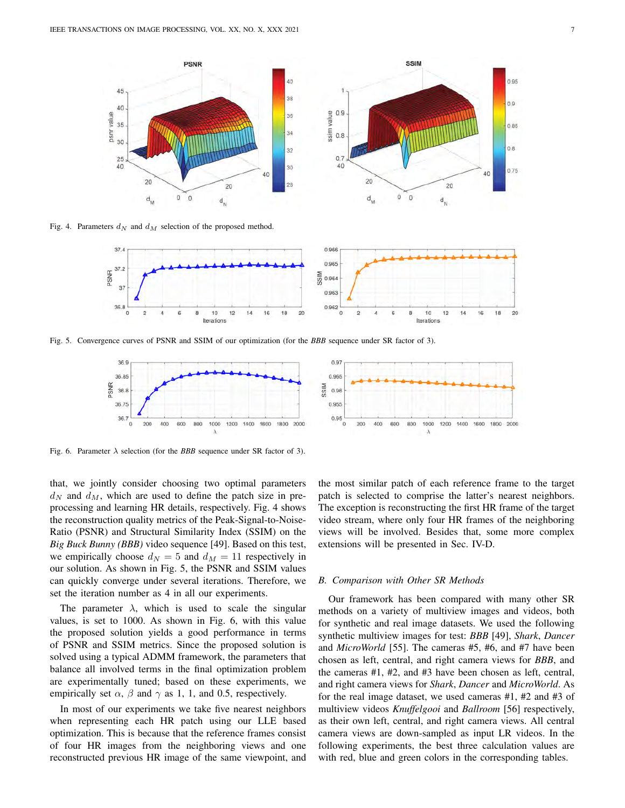

Fig. 4. Parameters  $d_N$  and  $d_M$  selection of the proposed method.



Fig. 5. Convergence curves of PSNR and SSIM of our optimization (for the *BBB* sequence under SR factor of 3).



Fig. 6. Parameter  $\lambda$  selection (for the *BBB* sequence under SR factor of 3).

that, we jointly consider choosing two optimal parameters  $d_N$  and  $d_M$ , which are used to define the patch size in preprocessing and learning HR details, respectively. Fig. 4 shows the reconstruction quality metrics of the Peak-Signal-to-Noise-Ratio (PSNR) and Structural Similarity Index (SSIM) on the *Big Buck Bunny (BBB)* video sequence [49]. Based on this test, we empirically choose  $d_N = 5$  and  $d_M = 11$  respectively in our solution. As shown in Fig. 5, the PSNR and SSIM values can quickly converge under several iterations. Therefore, we set the iteration number as 4 in all our experiments.

The parameter  $\lambda$ , which is used to scale the singular values, is set to 1000. As shown in Fig. 6, with this value the proposed solution yields a good performance in terms of PSNR and SSIM metrics. Since the proposed solution is solved using a typical ADMM framework, the parameters that balance all involved terms in the final optimization problem are experimentally tuned; based on these experiments, we empirically set  $\alpha$ ,  $\beta$  and  $\gamma$  as 1, 1, and 0.5, respectively.

In most of our experiments we take five nearest neighbors when representing each HR patch using our LLE based optimization. This is because that the reference frames consist of four HR images from the neighboring views and one reconstructed previous HR image of the same viewpoint, and the most similar patch of each reference frame to the target patch is selected to comprise the latter's nearest neighbors. The exception is reconstructing the first HR frame of the target video stream, where only four HR frames of the neighboring views will be involved. Besides that, some more complex extensions will be presented in Sec. IV-D.

#### *B. Comparison with Other SR Methods*

Our framework has been compared with many other SR methods on a variety of multiview images and videos, both for synthetic and real image datasets. We used the following synthetic multiview images for test: *BBB* [49], *Shark*, *Dancer* and *MicroWorld* [55]. The cameras #5, #6, and #7 have been chosen as left, central, and right camera views for *BBB*, and the cameras #1, #2, and #3 have been chosen as left, central, and right camera views for *Shark*, *Dancer* and *MicroWorld*. As for the real image dataset, we used cameras #1, #2 and #3 of multiview videos *Knuffelgooi* and *Ballroom* [56] respectively, as their own left, central, and right camera views. All central camera views are down-sampled as input LR videos. In the following experiments, the best three calculation values are with red, blue and green colors in the corresponding tables.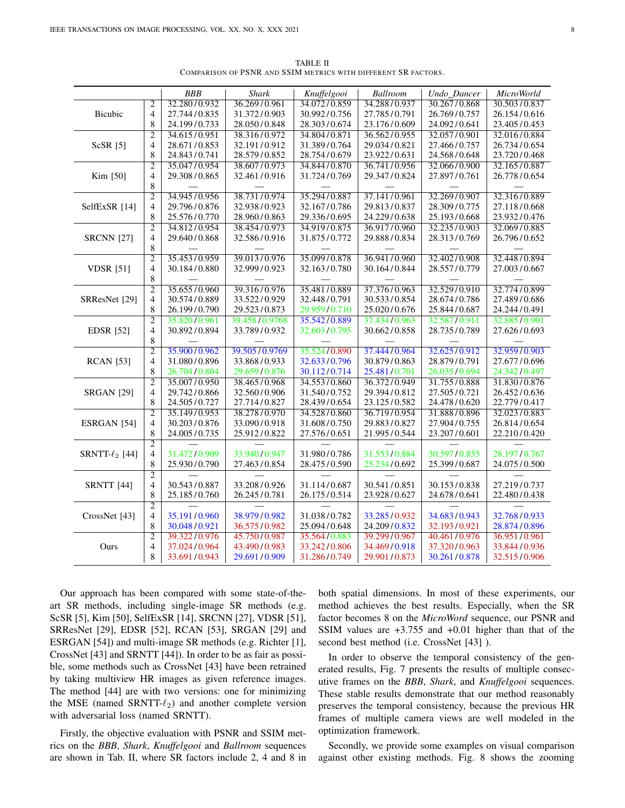|                                                                                                                                         |                                  | <b>BBB</b>   | <b>Shark</b>  |                             | <b>Ballroom</b> |              | <b>MicroWorld</b> |
|-----------------------------------------------------------------------------------------------------------------------------------------|----------------------------------|--------------|---------------|-----------------------------|-----------------|--------------|-------------------|
|                                                                                                                                         |                                  | 32.280/0.932 |               | Knuffelgooi<br>34.072/0.859 |                 | Undo_Dancer  |                   |
|                                                                                                                                         | $\overline{2}$<br>$\overline{4}$ |              | 36.269/0.961  |                             | 34.288/0.937    | 30.267/0.868 | 30.503/0.837      |
|                                                                                                                                         |                                  | 27.744/0.835 | 31.372/0.903  | 30.992/0.756                | 27.785/0.791    | 26.769/0.757 | 26.154/0.616      |
|                                                                                                                                         | 8                                | 24.199/0.733 | 28.050/0.848  | 28.303/0.674                | 23.176/0.609    | 24.092/0.641 | 23.405/0.453      |
| <b>Bicubic</b><br>$ScSR$ [5]<br>Kim [50]<br>SelfExSR [14]<br><b>SRCNN</b> [27]<br><b>VDSR</b> [51]<br>SRResNet [29]<br><b>EDSR</b> [52] | $\overline{2}$                   | 34.615/0.951 | 38.316/0.972  | 34.804/0.871                | 36.562/0.955    | 32.057/0.901 | 32.016/0.884      |
|                                                                                                                                         | $\overline{4}$                   | 28.671/0.853 | 32.191/0.912  | 31.389/0.764                | 29.034/0.821    | 27.466/0.757 | 26.734/0.654      |
|                                                                                                                                         | 8                                | 24.843/0.741 | 28.579/0.852  | 28.754/0.679                | 23.922/0.631    | 24.568/0.648 | 23.720/0.468      |
|                                                                                                                                         | $\overline{2}$                   | 35.047/0.954 | 38.607/0.973  | 34.844/0.870                | 36.741/0.956    | 32.066/0.900 | 32.165/0.887      |
|                                                                                                                                         | $\overline{4}$                   | 29.308/0.865 | 32.461/0.916  | 31.724/0.769                | 29.347/0.824    | 27.897/0.761 | 26.778/0.654      |
|                                                                                                                                         | 8                                |              |               |                             |                 |              |                   |
|                                                                                                                                         | $\overline{2}$                   | 34.945/0.956 | 38.731/0.974  | 35.294/0.887                | 37.141/0.961    | 32.269/0.907 | 32.316/0.889      |
|                                                                                                                                         | 4                                | 29.796/0.876 | 32.938/0.923  | 32.167/0.786                | 29.813/0.837    | 28.309/0.775 | 27.118/0.668      |
|                                                                                                                                         | 8                                | 25.576/0.770 | 28.960/0.863  | 29.336/0.695                | 24.229/0.638    | 25.193/0.668 | 23.932/0.476      |
|                                                                                                                                         | $\overline{2}$                   | 34.812/0.954 | 38.454/0.973  | 34.919/0.875                | 36.917/0.960    | 32.235/0.903 | 32.069/0.885      |
|                                                                                                                                         | $\overline{4}$                   | 29.640/0.868 | 32.586/0.916  | 31.875/0.772                | 29.888/0.834    | 28.313/0.769 | 26.796/0.652      |
|                                                                                                                                         | 8                                |              |               |                             |                 |              |                   |
|                                                                                                                                         | $\overline{2}$                   | 35.453/0.959 | 39.013/0.976  | 35.099/0.878                | 36.941/0.960    | 32.402/0.908 | 32.448/0.894      |
|                                                                                                                                         | $\overline{4}$                   | 30.184/0.880 | 32.999/0.923  | 32.163/0.780                | 30.164/0.844    | 28.557/0.779 | 27.003/0.667      |
|                                                                                                                                         | $\,$ 8 $\,$                      |              |               |                             |                 |              |                   |
|                                                                                                                                         | $\overline{2}$                   | 35.655/0.960 | 39.316/0.976  | 35.481/0.889                | 37.376/0.963    | 32.529/0.910 | 32.774/0.899      |
|                                                                                                                                         | $\overline{4}$                   | 30.574/0.889 | 33.522/0.929  | 32.448/0.791                | 30.533/0.854    | 28.674/0.786 | 27.489/0.686      |
|                                                                                                                                         | 8                                | 26.199/0.790 | 29.523/0.873  | 29.959/0.710                | 25.020/0.676    | 25.844/0.687 | 24.244/0.491      |
|                                                                                                                                         | $\overline{2}$                   | 35.820/0.961 | 39.458/0.9768 | 35.542/0.889                | 37.434/0.963    | 32.587/0.911 | 32.885/0.901      |
|                                                                                                                                         | 4                                | 30.892/0.894 | 33.789/0.932  | 32.603/0.795                | 30.662/0.858    | 28.735/0.789 | 27.626/0.693      |
|                                                                                                                                         | 8                                |              |               |                             |                 |              |                   |
| <b>RCAN</b> [53]                                                                                                                        | $\overline{2}$                   | 35.900/0.962 | 39.505/0.9769 | 35.524/0.890                | 37.444/0.964    | 32.625/0.912 | 32.959/0.903      |
|                                                                                                                                         | $\overline{4}$                   | 31.080/0.896 | 33.868/0.933  | 32.633/0.796                | 30.879/0.863    | 28.879/0.791 | 27.677/0.696      |
|                                                                                                                                         | 8                                | 26.704/0.804 | 29.659/0.876  | 30.112/0.714                | 25.481/0.701    | 26.035/0.694 | 24.342/0.497      |
|                                                                                                                                         | $\overline{2}$                   | 35.007/0.950 | 38.465/0.968  | 34.553/0.860                | 36.372/0.949    | 31.755/0.888 | 31.830/0.876      |
| <b>SRGAN</b> [29]                                                                                                                       | $\overline{4}$                   | 29.742/0.866 | 32.560/0.906  | 31.540/0.752                | 29.394/0.812    | 27.505/0.721 | 26.452/0.636      |
|                                                                                                                                         | 8                                | 24.505/0.727 | 27.714/0.827  | 28.439/0.654                | 23.125/0.582    | 24.478/0.620 | 22.779/0.417      |
|                                                                                                                                         | $\overline{2}$                   | 35.149/0.953 | 38.278/0.970  | 34.528/0.860                | 36.719/0.954    | 31.888/0.896 | 32.023/0.883      |
| ESRGAN [54]                                                                                                                             | $\overline{4}$                   | 30.203/0.876 | 33.090/0.918  | 31.608/0.750                | 29.883/0.827    | 27.904/0.755 | 26.814/0.654      |
|                                                                                                                                         | 8                                | 24.005/0.735 | 25.912/0.822  | 27.576/0.651                | 21.995/0.544    | 23.207/0.601 | 22.210/0.420      |
|                                                                                                                                         | $\overline{2}$                   |              |               |                             |                 |              |                   |
| SRNTT- $\ell_2$ [44]                                                                                                                    | $\overline{4}$                   | 31.472/0.909 | 33.940/0.947  | 31.980/0.786                | 31.553/0.884    | 30.597/0.855 | 28.197/0.767      |
|                                                                                                                                         | 8                                | 25.930/0.790 | 27.463/0.854  | 28.475/0.590                | 25.234/0.692    | 25.399/0.687 | 24.075/0.500      |
|                                                                                                                                         | $\overline{2}$                   |              |               |                             |                 |              |                   |
| <b>SRNTT</b> [44]                                                                                                                       | $\overline{4}$                   | 30.543/0.887 | 33.208/0.926  | 31.114/0.687                | 30.541/0.851    | 30.153/0.838 | 27.219/0.737      |
|                                                                                                                                         | 8                                | 25.185/0.760 | 26.245/0.781  | 26.175/0.514                | 23.928/0.627    | 24.678/0.641 | 22.480/0.438      |
|                                                                                                                                         | $\overline{2}$                   |              |               |                             |                 |              |                   |
| CrossNet [43]                                                                                                                           | $\overline{4}$                   | 35.191/0.960 | 38.979/0.982  | 31.038/0.782                | 33.285/0.932    | 34.683/0.943 | 32.768/0.933      |
|                                                                                                                                         | 8                                | 30.048/0.921 | 36.575/0.982  | 25.094/0.648                | 24.209/0.832    | 32.193/0.921 | 28.874/0.896      |
|                                                                                                                                         | $\overline{2}$                   | 39.322/0.976 | 45.750/0.987  | 35.564/0.883                | 39.299/0.967    | 40.461/0.976 | 36.951/0.961      |
| Ours                                                                                                                                    | $\overline{4}$                   | 37.024/0.964 | 43.490/0.983  | 33.242/0.806                | 34.469/0.918    | 37.320/0.963 | 33.844/0.936      |
|                                                                                                                                         | 8                                | 33.691/0.943 | 29.691/0.909  | 31.286/0.749                | 29.901/0.873    | 30.261/0.878 | 32.515/0.906      |
|                                                                                                                                         |                                  |              |               |                             |                 |              |                   |

TABLE II COMPARISON OF PSNR AND SSIM METRICS WITH DIFFERENT SR FACTORS.

Our approach has been compared with some state-of-theart SR methods, including single-image SR methods (e.g. ScSR [5], Kim [50], SelfExSR [14], SRCNN [27], VDSR [51], SRResNet [29], EDSR [52], RCAN [53], SRGAN [29] and ESRGAN [54]) and multi-image SR methods (e.g. Richter [1], CrossNet [43] and SRNTT [44]). In order to be as fair as possible, some methods such as CrossNet [43] have been retrained by taking multiview HR images as given reference images. The method [44] are with two versions: one for minimizing the MSE (named SRNTT- $\ell_2$ ) and another complete version with adversarial loss (named SRNTT).

Firstly, the objective evaluation with PSNR and SSIM metrics on the *BBB*, *Shark*, *Knuffelgooi* and *Ballroom* sequences are shown in Tab. II, where SR factors include 2, 4 and 8 in both spatial dimensions. In most of these experiments, our method achieves the best results. Especially, when the SR factor becomes 8 on the *MicroWord* sequence, our PSNR and SSIM values are +3.755 and +0.01 higher than that of the second best method (i.e. CrossNet [43] ).

In order to observe the temporal consistency of the generated results, Fig. 7 presents the results of multiple consecutive frames on the *BBB*, *Shark*, and *Knuffelgooi* sequences. These stable results demonstrate that our method reasonably preserves the temporal consistency, because the previous HR frames of multiple camera views are well modeled in the optimization framework.

Secondly, we provide some examples on visual comparison against other existing methods. Fig. 8 shows the zooming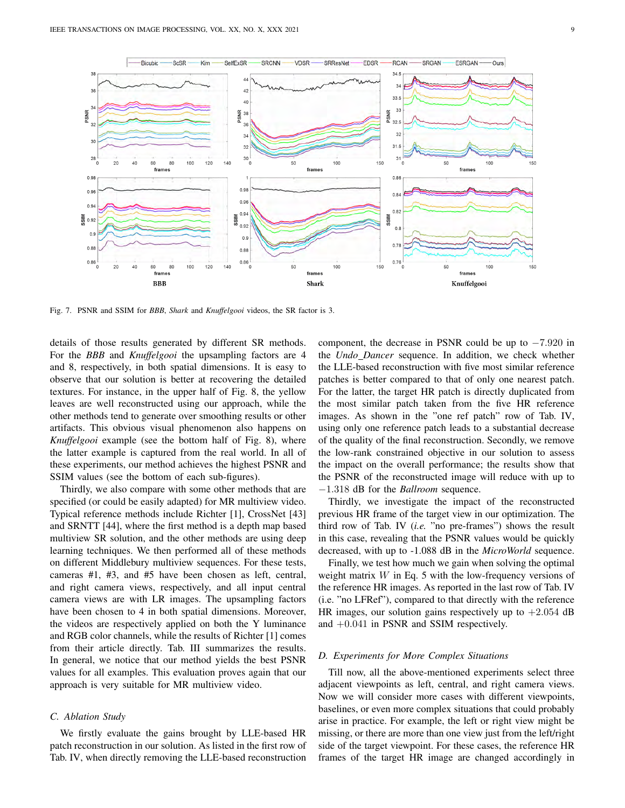

Fig. 7. PSNR and SSIM for *BBB*, *Shark* and *Knuffelgooi* videos, the SR factor is 3.

details of those results generated by different SR methods. For the *BBB* and *Knuffelgooi* the upsampling factors are 4 and 8, respectively, in both spatial dimensions. It is easy to observe that our solution is better at recovering the detailed textures. For instance, in the upper half of Fig. 8, the yellow leaves are well reconstructed using our approach, while the other methods tend to generate over smoothing results or other artifacts. This obvious visual phenomenon also happens on *Knuffelgooi* example (see the bottom half of Fig. 8), where the latter example is captured from the real world. In all of these experiments, our method achieves the highest PSNR and SSIM values (see the bottom of each sub-figures).

Thirdly, we also compare with some other methods that are specified (or could be easily adapted) for MR multiview video. Typical reference methods include Richter [1], CrossNet [43] and SRNTT [44], where the first method is a depth map based multiview SR solution, and the other methods are using deep learning techniques. We then performed all of these methods on different Middlebury multiview sequences. For these tests, cameras #1, #3, and #5 have been chosen as left, central, and right camera views, respectively, and all input central camera views are with LR images. The upsampling factors have been chosen to 4 in both spatial dimensions. Moreover, the videos are respectively applied on both the Y luminance and RGB color channels, while the results of Richter [1] comes from their article directly. Tab. III summarizes the results. In general, we notice that our method yields the best PSNR values for all examples. This evaluation proves again that our approach is very suitable for MR multiview video.

# *C. Ablation Study*

We firstly evaluate the gains brought by LLE-based HR patch reconstruction in our solution. As listed in the first row of Tab. IV, when directly removing the LLE-based reconstruction component, the decrease in PSNR could be up to −7.920 in the *Undo Dancer* sequence. In addition, we check whether the LLE-based reconstruction with five most similar reference patches is better compared to that of only one nearest patch. For the latter, the target HR patch is directly duplicated from the most similar patch taken from the five HR reference images. As shown in the "one ref patch" row of Tab. IV, using only one reference patch leads to a substantial decrease of the quality of the final reconstruction. Secondly, we remove the low-rank constrained objective in our solution to assess the impact on the overall performance; the results show that the PSNR of the reconstructed image will reduce with up to −1.318 dB for the *Ballroom* sequence.

Thirdly, we investigate the impact of the reconstructed previous HR frame of the target view in our optimization. The third row of Tab. IV (*i.e.* "no pre-frames") shows the result in this case, revealing that the PSNR values would be quickly decreased, with up to -1.088 dB in the *MicroWorld* sequence.

Finally, we test how much we gain when solving the optimal weight matrix  $W$  in Eq. 5 with the low-frequency versions of the reference HR images. As reported in the last row of Tab. IV (i.e. "no LFRef"), compared to that directly with the reference HR images, our solution gains respectively up to  $+2.054$  dB and +0.041 in PSNR and SSIM respectively.

## *D. Experiments for More Complex Situations*

Till now, all the above-mentioned experiments select three adjacent viewpoints as left, central, and right camera views. Now we will consider more cases with different viewpoints, baselines, or even more complex situations that could probably arise in practice. For example, the left or right view might be missing, or there are more than one view just from the left/right side of the target viewpoint. For these cases, the reference HR frames of the target HR image are changed accordingly in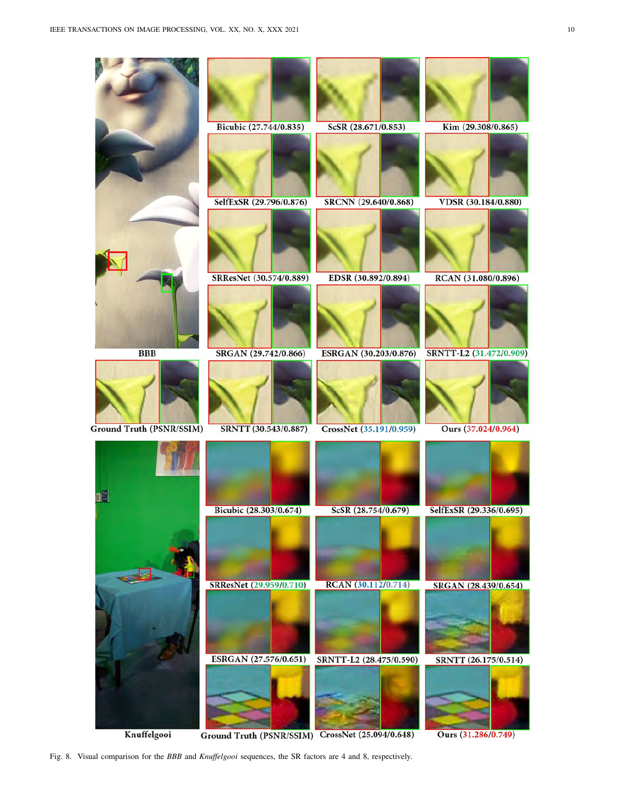

Knuffelgooi

Ground Truth (PSNR/SSIM) CrossNet (25.094/0.648)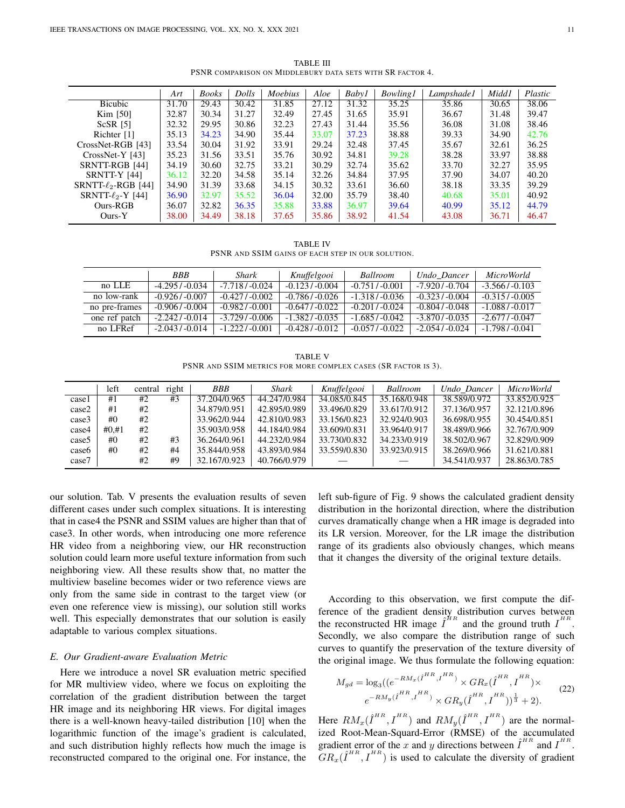*Art Books Dolls Moebius Aloe Baby1 Bowling1 Lampshade1 Midd1 Plastic* Bicubic | 31.70 | 29.43 | 30.42 | 31.85 | 27.12 | 31.32 | 35.25 | 35.86 | 30.65 | 38.06 Kim [50] 32.87 | 30.34 | 31.27 | 32.49 | 27.45 | 31.65 | 35.91 | 36.67 | 31.48 | 39.47 ScSR [5] 32.32 29.95 30.86 32.23 27.43 31.44 35.56 36.08 31.08 38.46 Richter [1] 35.13 34.23 34.90 35.44 33.07 37.23 38.88 39.33 34.90 42.76 CrossNet-RGB [43] 33.54 30.04 31.92 33.91 29.24 32.48 37.45 35.67 32.61 36.25 CrossNet-Y [43] 35.23 31.56 33.51 35.76 30.92 34.81 39.28 38.28 33.97 38.88 SRNTT-RGB [44] 34.19 30.60 32.75 33.21 30.29 32.74 35.62 33.70 32.27 35.95 SRNTT-Y [44] 36.12 32.20 34.58 35.14 32.26 34.84 37.95 37.90 34.07 40.20  $S\text{RNTT-}\ell_2\text{-RGB}$  [44]  $\mid$  34.90  $\mid$  31.39  $\mid$  33.68  $\mid$  34.15  $\mid$  30.32  $\mid$  33.61  $\mid$  36.60  $\mid$  38.18  $\mid$  33.35  $\mid$  39.29 SRNTT- $\ell_2$ -Y [44] 36.90 32.97 35.52 36.04 32.00 35.79 38.40 40.68 35.01 40.92<br>Ours-RGB 36.07 32.82 36.35 35.88 33.88 36.97 39.64 40.99 35.12 44.79 Ours-RGB 36.07 32.82 36.35 35.88 33.88 36.97 39.64 40.99 35.12 44.79 Ours-Y  $|38.00|34.49|38.18|37.65|35.86|38.92|41.54|43.08|36.71|46.47$ 

TABLE III PSNR COMPARISON ON MIDDLEBURY DATA SETS WITH SR FACTOR 4.

TABLE IV

PSNR AND SSIM GAINS OF EACH STEP IN OUR SOLUTION.

|               | <b>BBB</b>       | Shark            | Knuffelgooi      | Ballroom         | Undo Dancer      | <i>MicroWorld</i> |
|---------------|------------------|------------------|------------------|------------------|------------------|-------------------|
| no LLE        | $-4.295/ -0.034$ | $-7.718/ -0.024$ | $-0.123/ -0.004$ | $-0.751/ -0.001$ | $-7.920/ -0.704$ | $-3.566/ -0.103$  |
| no low-rank   | $-0.926/ -0.007$ | $-0.427/ -0.002$ | $-0.786/ -0.026$ | $-1.318/ -0.036$ | $-0.323/ -0.004$ | $-0.315/ -0.005$  |
| no pre-frames | $-0.906/ -0.004$ | $-0.982/ -0.001$ | $-0.647/ -0.022$ | $-0.201/ -0.024$ | $-0.804/ -0.048$ | $-1.088/ -0.017$  |
| one ref patch | $-2.242/ -0.014$ | $-3.729/ -0.006$ | $-1.382/ -0.035$ | $-1.685/ -0.042$ | $-3.870/-0.035$  | $-2.677/ -0.047$  |
| no LFRef      | $-2.043/ -0.014$ | $-1.222/ -0.001$ | $-0.428/ -0.012$ | $-0.057/ -0.022$ | $-2.054/ -0.024$ | $-1.798/ -0.041$  |

TABLE V PSNR AND SSIM METRICS FOR MORE COMPLEX CASES (SR FACTOR IS 3).

|       | left  | central | right | BBB          | Shark        | Knuffelgooi  | <b>Ballroom</b> | Undo Dancer  | <i>MicroWorld</i> |
|-------|-------|---------|-------|--------------|--------------|--------------|-----------------|--------------|-------------------|
| case1 | #1    | #2      | #3    | 37.204/0.965 | 44.247/0.984 | 34.085/0.845 | 35.168/0.948    | 38.589/0.972 | 33.852/0.925      |
| case2 | #1    | #2      |       | 34.879/0.951 | 42.895/0.989 | 33.496/0.829 | 33.617/0.912    | 37.136/0.957 | 32.121/0.896      |
| case3 | #()   | #2      |       | 33.962/0.944 | 42.810/0.983 | 33.156/0.823 | 32.924/0.903    | 36.698/0.955 | 30.454/0.851      |
| case4 | #0.#1 | #2      |       | 35.903/0.958 | 44.184/0.984 | 33.609/0.831 | 33.964/0.917    | 38.489/0.966 | 32.767/0.909      |
| case5 | #()   | #2      | #3    | 36.264/0.961 | 44.232/0.984 | 33.730/0.832 | 34.233/0.919    | 38.502/0.967 | 32.829/0.909      |
| case6 | #()   | #2      | #4    | 35.844/0.958 | 43.893/0.984 | 33.559/0.830 | 33.923/0.915    | 38.269/0.966 | 31.621/0.881      |
| case7 |       | #2      | #9    | 32.167/0.923 | 40.766/0.979 |              |                 | 34.541/0.937 | 28.863/0.785      |

our solution. Tab. V presents the evaluation results of seven different cases under such complex situations. It is interesting that in case4 the PSNR and SSIM values are higher than that of case3. In other words, when introducing one more reference HR video from a neighboring view, our HR reconstruction solution could learn more useful texture information from such neighboring view. All these results show that, no matter the multiview baseline becomes wider or two reference views are only from the same side in contrast to the target view (or even one reference view is missing), our solution still works well. This especially demonstrates that our solution is easily adaptable to various complex situations.

## *E. Our Gradient-aware Evaluation Metric*

Here we introduce a novel SR evaluation metric specified for MR multiview video, where we focus on exploiting the correlation of the gradient distribution between the target HR image and its neighboring HR views. For digital images there is a well-known heavy-tailed distribution [10] when the logarithmic function of the image's gradient is calculated, and such distribution highly reflects how much the image is reconstructed compared to the original one. For instance, the left sub-figure of Fig. 9 shows the calculated gradient density distribution in the horizontal direction, where the distribution curves dramatically change when a HR image is degraded into its LR version. Moreover, for the LR image the distribution range of its gradients also obviously changes, which means that it changes the diversity of the original texture details.

According to this observation, we first compute the difference of the gradient density distribution curves between the reconstructed HR image  $\hat{I}^{HR}$  and the ground truth  $I^{HR}$ . Secondly, we also compare the distribution range of such curves to quantify the preservation of the texture diversity of the original image. We thus formulate the following equation:

$$
M_{gd} = \log_3((e^{-RM_x(\hat{I}^{HR},I^{HR})} \times GR_x(\hat{I}^{HR},I^{HR}) \times e^{-RM_y(\hat{I}^{HR},I^{HR})} \times GR_y(\hat{I}^{HR},I^{HR}))^{\frac{1}{3}} + 2).
$$
 (22)

Here  $RM_x(\hat{I}^{HR},I^{HR})$  and  $RM_y(\hat{I}^{HR},I^{HR})$  are the normalized Root-Mean-Squard-Error (RMSE) of the accumulated gradient error of the x and y directions between  $\hat{I}^{HR}$  and  $I^{HR}$ .  $GR_x(\hat{\textit{I}}^{HR}, \textit{I}^{HR})$  is used to calculate the diversity of gradient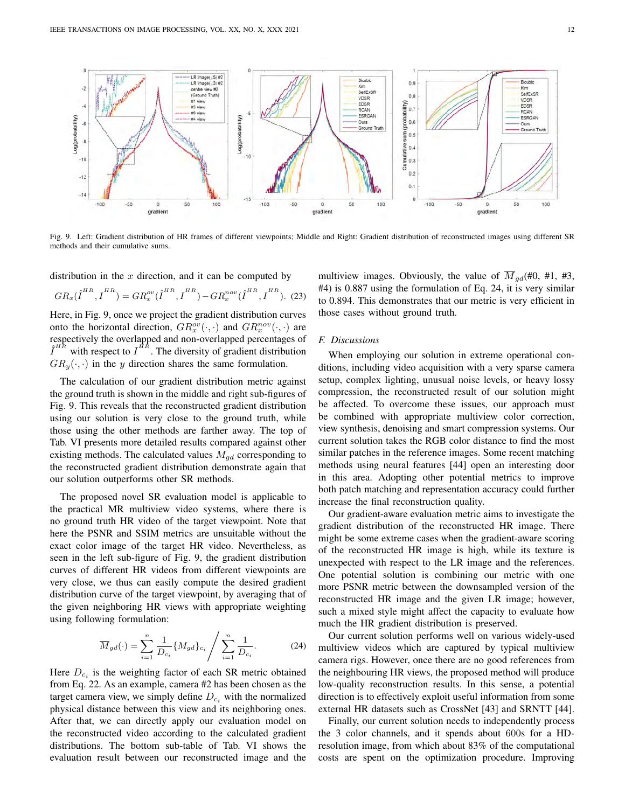

Fig. 9. Left: Gradient distribution of HR frames of different viewpoints; Middle and Right: Gradient distribution of reconstructed images using different SR methods and their cumulative sums.

distribution in the  $x$  direction, and it can be computed by

$$
GR_x(\hat{\boldsymbol{I}}^{HR}, \boldsymbol{I}^{HR}) = GR_x^{ov}(\hat{\boldsymbol{I}}^{HR}, \boldsymbol{I}^{HR}) - GR_x^{nov}(\hat{\boldsymbol{I}}^{HR}, \boldsymbol{I}^{HR}).
$$
 (23)

Here, in Fig. 9, once we project the gradient distribution curves onto the horizontal direction,  $GR_x^{ov}(\cdot, \cdot)$  and  $GR_x^{nov}(\cdot, \cdot)$  are respectively the overlapped and non-overlapped percentages of  $\hat{I}^{HR}$  with respect to  $I^{HR}$ . The diversity of gradient distribution  $GR_u(\cdot, \cdot)$  in the y direction shares the same formulation.

The calculation of our gradient distribution metric against the ground truth is shown in the middle and right sub-figures of Fig. 9. This reveals that the reconstructed gradient distribution using our solution is very close to the ground truth, while those using the other methods are farther away. The top of Tab. VI presents more detailed results compared against other existing methods. The calculated values  $M_{qd}$  corresponding to the reconstructed gradient distribution demonstrate again that our solution outperforms other SR methods.

The proposed novel SR evaluation model is applicable to the practical MR multiview video systems, where there is no ground truth HR video of the target viewpoint. Note that here the PSNR and SSIM metrics are unsuitable without the exact color image of the target HR video. Nevertheless, as seen in the left sub-figure of Fig. 9, the gradient distribution curves of different HR videos from different viewpoints are very close, we thus can easily compute the desired gradient distribution curve of the target viewpoint, by averaging that of the given neighboring HR views with appropriate weighting using following formulation:

$$
\overline{M}_{gd}(\cdot) = \sum_{i=1}^{n} \frac{1}{D_{c_i}} \{ M_{gd} \}_{c_i} / \sum_{i=1}^{n} \frac{1}{D_{c_i}}.
$$
 (24)

Here  $D_{c_i}$  is the weighting factor of each SR metric obtained from Eq. 22. As an example, camera #2 has been chosen as the target camera view, we simply define  $D_{c_i}$  with the normalized physical distance between this view and its neighboring ones. After that, we can directly apply our evaluation model on the reconstructed video according to the calculated gradient distributions. The bottom sub-table of Tab. VI shows the evaluation result between our reconstructed image and the multiview images. Obviously, the value of  $\overline{M}_{ad}(\text{\#}0, \text{\#}1, \text{\#}3, \text{\#}1)$ #4) is 0.887 using the formulation of Eq. 24, it is very similar to 0.894. This demonstrates that our metric is very efficient in those cases without ground truth.

## *F. Discussions*

When employing our solution in extreme operational conditions, including video acquisition with a very sparse camera setup, complex lighting, unusual noise levels, or heavy lossy compression, the reconstructed result of our solution might be affected. To overcome these issues, our approach must be combined with appropriate multiview color correction, view synthesis, denoising and smart compression systems. Our current solution takes the RGB color distance to find the most similar patches in the reference images. Some recent matching methods using neural features [44] open an interesting door in this area. Adopting other potential metrics to improve both patch matching and representation accuracy could further increase the final reconstruction quality.

Our gradient-aware evaluation metric aims to investigate the gradient distribution of the reconstructed HR image. There might be some extreme cases when the gradient-aware scoring of the reconstructed HR image is high, while its texture is unexpected with respect to the LR image and the references. One potential solution is combining our metric with one more PSNR metric between the downsampled version of the reconstructed HR image and the given LR image; however, such a mixed style might affect the capacity to evaluate how much the HR gradient distribution is preserved.

Our current solution performs well on various widely-used multiview videos which are captured by typical multiview camera rigs. However, once there are no good references from the neighbouring HR views, the proposed method will produce low-quality reconstruction results. In this sense, a potential direction is to effectively exploit useful information from some external HR datasets such as CrossNet [43] and SRNTT [44].

Finally, our current solution needs to independently process the 3 color channels, and it spends about 600s for a HDresolution image, from which about 83% of the computational costs are spent on the optimization procedure. Improving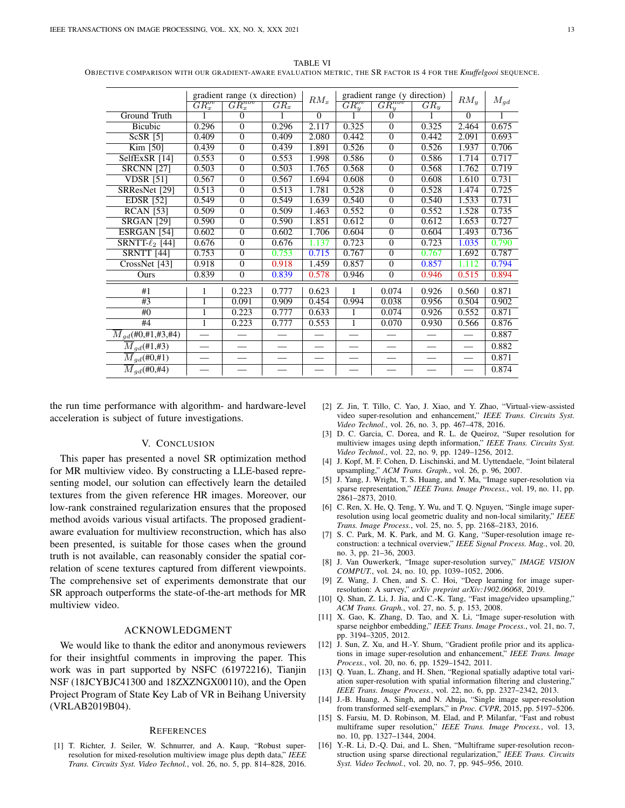TABLE VI OBJECTIVE COMPARISON WITH OUR GRADIENT-AWARE EVALUATION METRIC, THE SR FACTOR IS 4 FOR THE *Knuffelgooi* SEQUENCE.

|                                            | gradient range (x direction) |                |        |                | gradient range (y direction) |                |        |                 |          |
|--------------------------------------------|------------------------------|----------------|--------|----------------|------------------------------|----------------|--------|-----------------|----------|
|                                            | $\overline{GR_x^{ov}}$       | $GR_x^{nov}$   | $GR_x$ | $RM_x$         | $GR_{u}^{ov}$                | $GR_u^{nov}$   | $GR_u$ | $RM_y$          | $M_{gd}$ |
| Ground Truth                               |                              | $\Omega$       |        | $\overline{0}$ |                              | $\Omega$       |        | $\overline{0}$  |          |
| Bicubic                                    | 0.296                        | $\Omega$       | 0.296  | 2.117          | 0.325                        | $\Omega$       | 0.325  | 2.464           | 0.675    |
| $ScSR$ [5]                                 | 0.409                        | $\overline{0}$ | 0.409  | 2.080          | 0.442                        | $\overline{0}$ | 0.442  | 2.091           | 0.693    |
| Kim [50]                                   | 0.439                        | $\Omega$       | 0.439  | 1.891          | 0.526                        | $\Omega$       | 0.526  | 1.937           | 0.706    |
| SelfExSR [14]                              | 0.553                        | $\overline{0}$ | 0.553  | 1.998          | 0.586                        | $\overline{0}$ | 0.586  | 1.714           | 0.717    |
| <b>SRCNN [27]</b>                          | 0.503                        | $\Omega$       | 0.503  | 1.765          | 0.568                        | $\overline{0}$ | 0.568  | 1.762           | 0.719    |
| <b>VDSR</b> [51]                           | 0.567                        | $\Omega$       | 0.567  | 1.694          | 0.608                        | $\Omega$       | 0.608  | 1.610           | 0.731    |
| SRResNet [29]                              | 0.513                        | $\overline{0}$ | 0.513  | 1.781          | 0.528                        | $\overline{0}$ | 0.528  | 1.474           | 0.725    |
| <b>EDSR</b> [52]                           | 0.549                        | $\Omega$       | 0.549  | 1.639          | 0.540                        | $\Omega$       | 0.540  | 1.533           | 0.731    |
| <b>RCAN</b> [53]                           | 0.509                        | $\overline{0}$ | 0.509  | 1.463          | 0.552                        | $\overline{0}$ | 0.552  | 1.528           | 0.735    |
| <b>SRGAN [29]</b>                          | 0.590                        | $\overline{0}$ | 0.590  | 1.851          | 0.612                        | $\overline{0}$ | 0.612  | 1.653           | 0.727    |
| ESRGAN <sub>[54]</sub>                     | 0.602                        | $\Omega$       | 0.602  | 1.706          | 0.604                        | $\Omega$       | 0.604  | 1.493           | 0.736    |
| SRNTT- $\ell_2$ [44]                       | 0.676                        | $\Omega$       | 0.676  | 1.137          | 0.723                        | $\overline{0}$ | 0.723  | 1.035           | 0.790    |
| <b>SRNTT</b> [44]                          | 0.753                        | $\Omega$       | 0.753  | 0.715          | 0.767                        | $\Omega$       | 0.767  | 1.692           | 0.787    |
| CrossNet [43]                              | 0.918                        | $\Omega$       | 0.918  | 1.459          | 0.857                        | $\Omega$       | 0.857  | 1.112           | 0.794    |
| Ours                                       | 0.839                        | $\Omega$       | 0.839  | 0.578          | 0.946                        | $\overline{0}$ | 0.946  | 0.515           | 0.894    |
| #1                                         | 1                            | 0.223          | 0.777  | 0.623          | 1                            | 0.074          | 0.926  | 0.560           | 0.871    |
| #3                                         |                              | 0.091          | 0.909  | 0.454          | 0.994                        | 0.038          | 0.956  | 0.504           | 0.902    |
| #()                                        | 1                            | 0.223          | 0.777  | 0.633          | 1                            | 0.074          | 0.926  | 0.552           | 0.871    |
| #4                                         | 1                            | 0.223          | 0.777  | 0.553          | 1                            | 0.070          | 0.930  | 0.566           | 0.876    |
| $\overline{M}_{qd}$ (#0,#1,#3,#4)          |                              |                |        |                |                              |                |        |                 | 0.887    |
| $\overline{M}_{gd}$ (#1,#3)                |                              |                |        |                |                              |                |        |                 | 0.882    |
| $\overline{M}_{qd}(\text{\#}0,\text{\#}1)$ |                              |                |        |                |                              |                |        | $\frac{1}{1}$   | 0.871    |
| $\overline{M}_{gd}$ (#0,#4)                |                              |                |        |                |                              |                |        | $\qquad \qquad$ | 0.874    |

the run time performance with algorithm- and hardware-level acceleration is subject of future investigations.

# V. CONCLUSION

This paper has presented a novel SR optimization method for MR multiview video. By constructing a LLE-based representing model, our solution can effectively learn the detailed textures from the given reference HR images. Moreover, our low-rank constrained regularization ensures that the proposed method avoids various visual artifacts. The proposed gradientaware evaluation for multiview reconstruction, which has also been presented, is suitable for those cases when the ground truth is not available, can reasonably consider the spatial correlation of scene textures captured from different viewpoints. The comprehensive set of experiments demonstrate that our SR approach outperforms the state-of-the-art methods for MR multiview video.

## ACKNOWLEDGMENT

We would like to thank the editor and anonymous reviewers for their insightful comments in improving the paper. This work was in part supported by NSFC (61972216), Tianjin NSF (18JCYBJC41300 and 18ZXZNGX00110), and the Open Project Program of State Key Lab of VR in Beihang University (VRLAB2019B04).

### **REFERENCES**

[1] T. Richter, J. Seiler, W. Schnurrer, and A. Kaup, "Robust superresolution for mixed-resolution multiview image plus depth data," *IEEE Trans. Circuits Syst. Video Technol.*, vol. 26, no. 5, pp. 814–828, 2016.

- [2] Z. Jin, T. Tillo, C. Yao, J. Xiao, and Y. Zhao, "Virtual-view-assisted video super-resolution and enhancement," *IEEE Trans. Circuits Syst. Video Technol.*, vol. 26, no. 3, pp. 467–478, 2016.
- [3] D. C. Garcia, C. Dorea, and R. L. de Queiroz, "Super resolution for multiview images using depth information," *IEEE Trans. Circuits Syst. Video Technol.*, vol. 22, no. 9, pp. 1249–1256, 2012.
- [4] J. Kopf, M. F. Cohen, D. Lischinski, and M. Uyttendaele, "Joint bilateral upsampling," *ACM Trans. Graph.*, vol. 26, p. 96, 2007.
- [5] J. Yang, J. Wright, T. S. Huang, and Y. Ma, "Image super-resolution via sparse representation," *IEEE Trans. Image Process.*, vol. 19, no. 11, pp. 2861–2873, 2010.
- [6] C. Ren, X. He, Q. Teng, Y. Wu, and T. Q. Nguyen, "Single image superresolution using local geometric duality and non-local similarity," *IEEE Trans. Image Process.*, vol. 25, no. 5, pp. 2168–2183, 2016.
- [7] S. C. Park, M. K. Park, and M. G. Kang, "Super-resolution image reconstruction: a technical overview," *IEEE Signal Process. Mag.*, vol. 20, no. 3, pp. 21–36, 2003.
- [8] J. Van Ouwerkerk, "Image super-resolution survey," *IMAGE VISION COMPUT.*, vol. 24, no. 10, pp. 1039–1052, 2006.
- [9] Z. Wang, J. Chen, and S. C. Hoi, "Deep learning for image superresolution: A survey," *arXiv preprint arXiv:1902.06068*, 2019.
- [10] Q. Shan, Z. Li, J. Jia, and C.-K. Tang, "Fast image/video upsampling," *ACM Trans. Graph.*, vol. 27, no. 5, p. 153, 2008.
- [11] X. Gao, K. Zhang, D. Tao, and X. Li, "Image super-resolution with sparse neighbor embedding," *IEEE Trans. Image Process.*, vol. 21, no. 7, pp. 3194–3205, 2012.
- [12] J. Sun, Z. Xu, and H.-Y. Shum, "Gradient profile prior and its applications in image super-resolution and enhancement," *IEEE Trans. Image Process.*, vol. 20, no. 6, pp. 1529–1542, 2011.
- [13] Q. Yuan, L. Zhang, and H. Shen, "Regional spatially adaptive total variation super-resolution with spatial information filtering and clustering," *IEEE Trans. Image Process.*, vol. 22, no. 6, pp. 2327–2342, 2013.
- [14] J.-B. Huang, A. Singh, and N. Ahuja, "Single image super-resolution from transformed self-exemplars," in *Proc. CVPR*, 2015, pp. 5197–5206.
- [15] S. Farsiu, M. D. Robinson, M. Elad, and P. Milanfar, "Fast and robust multiframe super resolution," *IEEE Trans. Image Process.*, vol. 13, no. 10, pp. 1327–1344, 2004.
- [16] Y.-R. Li, D.-Q. Dai, and L. Shen, "Multiframe super-resolution reconstruction using sparse directional regularization," *IEEE Trans. Circuits Syst. Video Technol.*, vol. 20, no. 7, pp. 945–956, 2010.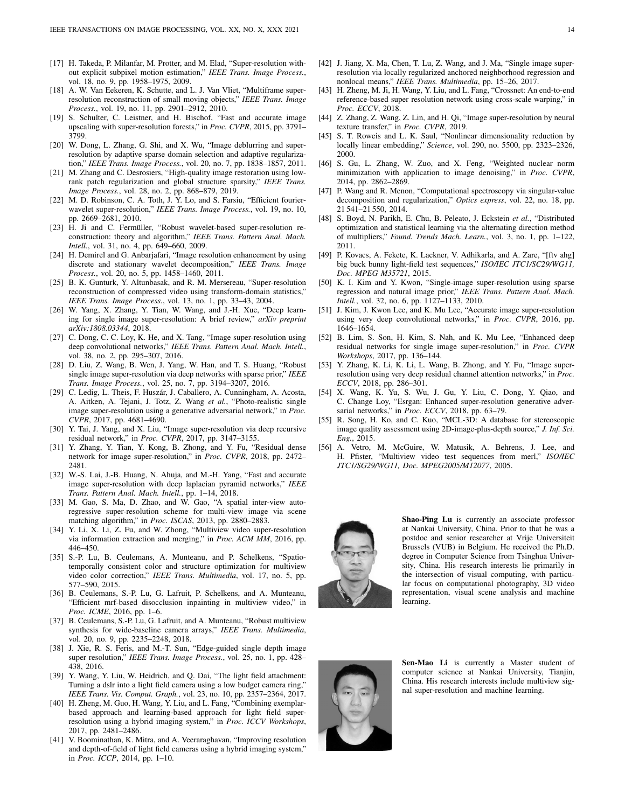- [17] H. Takeda, P. Milanfar, M. Protter, and M. Elad, "Super-resolution without explicit subpixel motion estimation," *IEEE Trans. Image Process.*, vol. 18, no. 9, pp. 1958–1975, 2009.
- [18] A. W. Van Eekeren, K. Schutte, and L. J. Van Vliet, "Multiframe superresolution reconstruction of small moving objects," *IEEE Trans. Image Process.*, vol. 19, no. 11, pp. 2901–2912, 2010.
- [19] S. Schulter, C. Leistner, and H. Bischof, "Fast and accurate image upscaling with super-resolution forests," in *Proc. CVPR*, 2015, pp. 3791– 3799.
- [20] W. Dong, L. Zhang, G. Shi, and X. Wu, "Image deblurring and superresolution by adaptive sparse domain selection and adaptive regularization," *IEEE Trans. Image Process.*, vol. 20, no. 7, pp. 1838–1857, 2011.
- [21] M. Zhang and C. Desrosiers, "High-quality image restoration using lowrank patch regularization and global structure sparsity," *IEEE Trans. Image Process.*, vol. 28, no. 2, pp. 868–879, 2019.
- [22] M. D. Robinson, C. A. Toth, J. Y. Lo, and S. Farsiu, "Efficient fourierwavelet super-resolution," *IEEE Trans. Image Process.*, vol. 19, no. 10, pp. 2669–2681, 2010.
- [23] H. Ji and C. Fermüller, "Robust wavelet-based super-resolution reconstruction: theory and algorithm," *IEEE Trans. Pattern Anal. Mach. Intell.*, vol. 31, no. 4, pp. 649–660, 2009.
- [24] H. Demirel and G. Anbarjafari, "Image resolution enhancement by using discrete and stationary wavelet decomposition," *IEEE Trans. Image Process.*, vol. 20, no. 5, pp. 1458–1460, 2011.
- [25] B. K. Gunturk, Y. Altunbasak, and R. M. Mersereau, "Super-resolution reconstruction of compressed video using transform-domain statistics," *IEEE Trans. Image Process.*, vol. 13, no. 1, pp. 33–43, 2004.
- [26] W. Yang, X. Zhang, Y. Tian, W. Wang, and J.-H. Xue, "Deep learning for single image super-resolution: A brief review," *arXiv preprint arXiv:1808.03344*, 2018.
- [27] C. Dong, C. C. Loy, K. He, and X. Tang, "Image super-resolution using deep convolutional networks," *IEEE Trans. Pattern Anal. Mach. Intell.*, vol. 38, no. 2, pp. 295–307, 2016.
- [28] D. Liu, Z. Wang, B. Wen, J. Yang, W. Han, and T. S. Huang, "Robust single image super-resolution via deep networks with sparse prior," *IEEE Trans. Image Process.*, vol. 25, no. 7, pp. 3194–3207, 2016.
- [29] C. Ledig, L. Theis, F. Huszár, J. Caballero, A. Cunningham, A. Acosta, A. Aitken, A. Tejani, J. Totz, Z. Wang *et al.*, "Photo-realistic single image super-resolution using a generative adversarial network," in *Proc. CVPR*, 2017, pp. 4681–4690.
- [30] Y. Tai, J. Yang, and X. Liu, "Image super-resolution via deep recursive residual network," in *Proc. CVPR*, 2017, pp. 3147–3155.
- [31] Y. Zhang, Y. Tian, Y. Kong, B. Zhong, and Y. Fu, "Residual dense network for image super-resolution," in *Proc. CVPR*, 2018, pp. 2472– 2481.
- [32] W.-S. Lai, J.-B. Huang, N. Ahuja, and M.-H. Yang, "Fast and accurate image super-resolution with deep laplacian pyramid networks," *IEEE Trans. Pattern Anal. Mach. Intell.*, pp. 1–14, 2018.
- [33] M. Gao, S. Ma, D. Zhao, and W. Gao, "A spatial inter-view autoregressive super-resolution scheme for multi-view image via scene matching algorithm," in *Proc. ISCAS*, 2013, pp. 2880–2883.
- [34] Y. Li, X. Li, Z. Fu, and W. Zhong, "Multiview video super-resolution via information extraction and merging," in *Proc. ACM MM*, 2016, pp. 446–450.
- [35] S.-P. Lu, B. Ceulemans, A. Munteanu, and P. Schelkens, "Spatiotemporally consistent color and structure optimization for multiview video color correction," *IEEE Trans. Multimedia*, vol. 17, no. 5, pp. 577–590, 2015.
- [36] B. Ceulemans, S.-P. Lu, G. Lafruit, P. Schelkens, and A. Munteanu, "Efficient mrf-based disocclusion inpainting in multiview video," in *Proc. ICME*, 2016, pp. 1–6.
- [37] B. Ceulemans, S.-P. Lu, G. Lafruit, and A. Munteanu, "Robust multiview synthesis for wide-baseline camera arrays," *IEEE Trans. Multimedia*, vol. 20, no. 9, pp. 2235–2248, 2018.
- [38] J. Xie, R. S. Feris, and M.-T. Sun, "Edge-guided single depth image super resolution," *IEEE Trans. Image Process.*, vol. 25, no. 1, pp. 428– 438, 2016.
- [39] Y. Wang, Y. Liu, W. Heidrich, and Q. Dai, "The light field attachment: Turning a dslr into a light field camera using a low budget camera ring," *IEEE Trans. Vis. Comput. Graph.*, vol. 23, no. 10, pp. 2357–2364, 2017.
- [40] H. Zheng, M. Guo, H. Wang, Y. Liu, and L. Fang, "Combining exemplarbased approach and learning-based approach for light field superresolution using a hybrid imaging system," in *Proc. ICCV Workshops*, 2017, pp. 2481–2486.
- [41] V. Boominathan, K. Mitra, and A. Veeraraghavan, "Improving resolution and depth-of-field of light field cameras using a hybrid imaging system," in *Proc. ICCP*, 2014, pp. 1–10.
- [42] J. Jiang, X. Ma, Chen, T. Lu, Z. Wang, and J. Ma, "Single image superresolution via locally regularized anchored neighborhood regression and nonlocal means," *IEEE Trans. Multimedia*, pp. 15–26, 2017.
- [43] H. Zheng, M. Ji, H. Wang, Y. Liu, and L. Fang, "Crossnet: An end-to-end reference-based super resolution network using cross-scale warping," in *Proc. ECCV*, 2018.
- [44] Z. Zhang, Z. Wang, Z. Lin, and H. Qi, "Image super-resolution by neural texture transfer," in *Proc. CVPR*, 2019.
- [45] S. T. Roweis and L. K. Saul, "Nonlinear dimensionality reduction by locally linear embedding," *Science*, vol. 290, no. 5500, pp. 2323–2326, 2000.
- [46] S. Gu, L. Zhang, W. Zuo, and X. Feng, "Weighted nuclear norm minimization with application to image denoising," in *Proc. CVPR*, 2014, pp. 2862–2869.
- [47] P. Wang and R. Menon, "Computational spectroscopy via singular-value decomposition and regularization," *Optics express*, vol. 22, no. 18, pp. 21 541–21 550, 2014.
- [48] S. Boyd, N. Parikh, E. Chu, B. Peleato, J. Eckstein *et al.*, "Distributed optimization and statistical learning via the alternating direction method of multipliers," *Found. Trends Mach. Learn.*, vol. 3, no. 1, pp. 1–122, 2011.
- [49] P. Kovacs, A. Fekete, K. Lackner, V. Adhikarla, and A. Zare, "[ftv ahg] big buck bunny light-field test sequences," *ISO/IEC JTC1/SC29/WG11, Doc. MPEG M35721*, 2015.
- [50] K. I. Kim and Y. Kwon, "Single-image super-resolution using sparse regression and natural image prior," *IEEE Trans. Pattern Anal. Mach. Intell.*, vol. 32, no. 6, pp. 1127–1133, 2010.
- [51] J. Kim, J. Kwon Lee, and K. Mu Lee, "Accurate image super-resolution using very deep convolutional networks," in *Proc. CVPR*, 2016, pp. 1646–1654.
- [52] B. Lim, S. Son, H. Kim, S. Nah, and K. Mu Lee, "Enhanced deep residual networks for single image super-resolution," in *Proc. CVPR Workshops*, 2017, pp. 136–144.
- [53] Y. Zhang, K. Li, K. Li, L. Wang, B. Zhong, and Y. Fu, "Image superresolution using very deep residual channel attention networks," in *Proc. ECCV*, 2018, pp. 286–301.
- [54] X. Wang, K. Yu, S. Wu, J. Gu, Y. Liu, C. Dong, Y. Qiao, and C. Change Loy, "Esrgan: Enhanced super-resolution generative adversarial networks," in *Proc. ECCV*, 2018, pp. 63–79.
- [55] R. Song, H. Ko, and C. Kuo, "MCL-3D: A database for stereoscopic image quality assessment using 2D-image-plus-depth source," *J. Inf. Sci. Eng.*, 2015.
- [56] A. Vetro, M. McGuire, W. Matusik, A. Behrens, J. Lee, and H. Pfister, "Multiview video test sequences from merl," *ISO/IEC JTC1/SG29/WG11, Doc. MPEG2005/M12077*, 2005.



Shao-Ping Lu is currently an associate professor at Nankai University, China. Prior to that he was a postdoc and senior researcher at Vrije Universiteit Brussels (VUB) in Belgium. He received the Ph.D. degree in Computer Science from Tsinghua University, China. His research interests lie primarily in the intersection of visual computing, with particular focus on computational photography, 3D video representation, visual scene analysis and machine learning.



Sen-Mao Li is currently a Master student of computer science at Nankai University, Tianjin, China. His research interests include multiview signal super-resolution and machine learning.